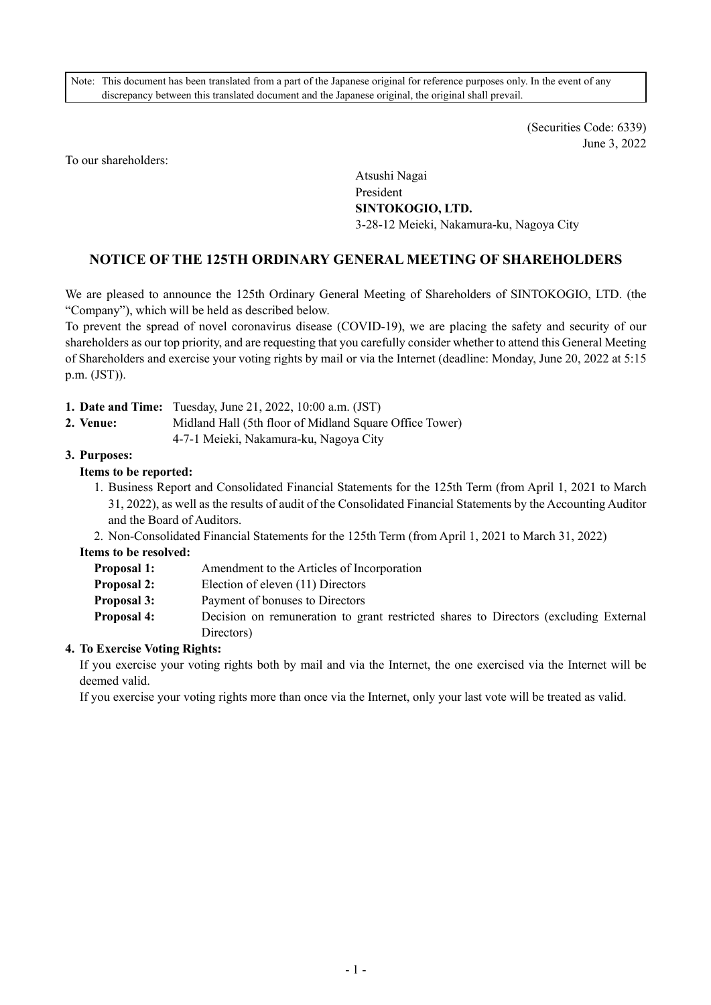Note: This document has been translated from a part of the Japanese original for reference purposes only. In the event of any discrepancy between this translated document and the Japanese original, the original shall prevail.

> (Securities Code: 6339) June 3, 2022

To our shareholders:

Atsushi Nagai President **SINTOKOGIO, LTD.** 3-28-12 Meieki, Nakamura-ku, Nagoya City

# **NOTICE OF THE 125TH ORDINARY GENERAL MEETING OF SHAREHOLDERS**

We are pleased to announce the 125th Ordinary General Meeting of Shareholders of SINTOKOGIO, LTD. (the "Company"), which will be held as described below.

To prevent the spread of novel coronavirus disease (COVID-19), we are placing the safety and security of our shareholders as our top priority, and are requesting that you carefully consider whether to attend this General Meeting of Shareholders and exercise your voting rights by mail or via the Internet (deadline: Monday, June 20, 2022 at 5:15 p.m. (JST)).

- **1. Date and Time:** Tuesday, June 21, 2022, 10:00 a.m. (JST)
- **2. Venue:** Midland Hall (5th floor of Midland Square Office Tower)
	- 4-7-1 Meieki, Nakamura-ku, Nagoya City

## **3. Purposes:**

## **Items to be reported:**

- 1. Business Report and Consolidated Financial Statements for the 125th Term (from April 1, 2021 to March 31, 2022), as well as the results of audit of the Consolidated Financial Statements by the Accounting Auditor and the Board of Auditors.
- 2. Non-Consolidated Financial Statements for the 125th Term (from April 1, 2021 to March 31, 2022)

## **Items to be resolved:**

| <b>Proposal 1:</b> | Amendment to the Articles of Incorporation                                           |
|--------------------|--------------------------------------------------------------------------------------|
| <b>Proposal 2:</b> | Election of eleven (11) Directors                                                    |
| <b>Proposal 3:</b> | Payment of bonuses to Directors                                                      |
| <b>Proposal 4:</b> | Decision on remuneration to grant restricted shares to Directors (excluding External |
|                    | Directors)                                                                           |

## **4. To Exercise Voting Rights:**

If you exercise your voting rights both by mail and via the Internet, the one exercised via the Internet will be deemed valid.

If you exercise your voting rights more than once via the Internet, only your last vote will be treated as valid.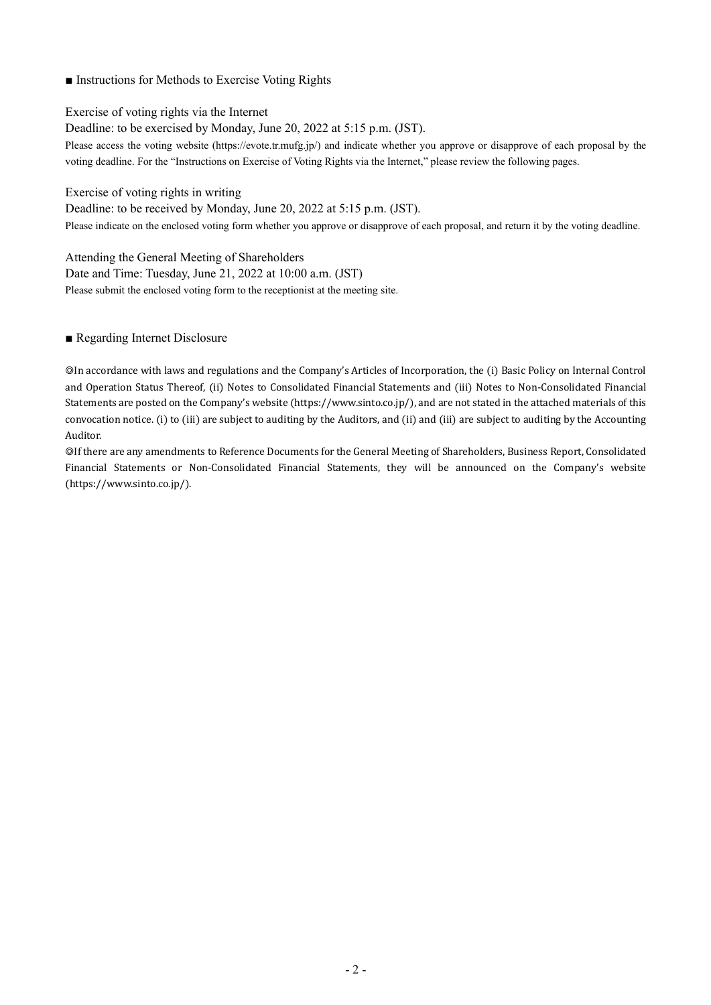## ■ Instructions for Methods to Exercise Voting Rights

Exercise of voting rights via the Internet

Deadline: to be exercised by Monday, June 20, 2022 at 5:15 p.m. (JST).

Please access the voting website (https://evote.tr.mufg.jp/) and indicate whether you approve or disapprove of each proposal by the voting deadline. For the "Instructions on Exercise of Voting Rights via the Internet," please review the following pages.

Exercise of voting rights in writing

Deadline: to be received by Monday, June 20, 2022 at 5:15 p.m. (JST).

Please indicate on the enclosed voting form whether you approve or disapprove of each proposal, and return it by the voting deadline.

Attending the General Meeting of Shareholders Date and Time: Tuesday, June 21, 2022 at 10:00 a.m. (JST) Please submit the enclosed voting form to the receptionist at the meeting site.

## ■ Regarding Internet Disclosure

◎In accordance with laws and regulations and the Company's Articles of Incorporation, the (i) Basic Policy on Internal Control and Operation Status Thereof, (ii) Notes to Consolidated Financial Statements and (iii) Notes to Non-Consolidated Financial Statements are posted on the Company's website (https://www.sinto.co.jp/), and are not stated in the attached materials of this convocation notice. (i) to (iii) are subject to auditing by the Auditors, and (ii) and (iii) are subject to auditing by the Accounting Auditor.

◎If there are any amendments to Reference Documents for the General Meeting of Shareholders, Business Report, Consolidated Financial Statements or Non-Consolidated Financial Statements, they will be announced on the Company's website (https://www.sinto.co.jp/).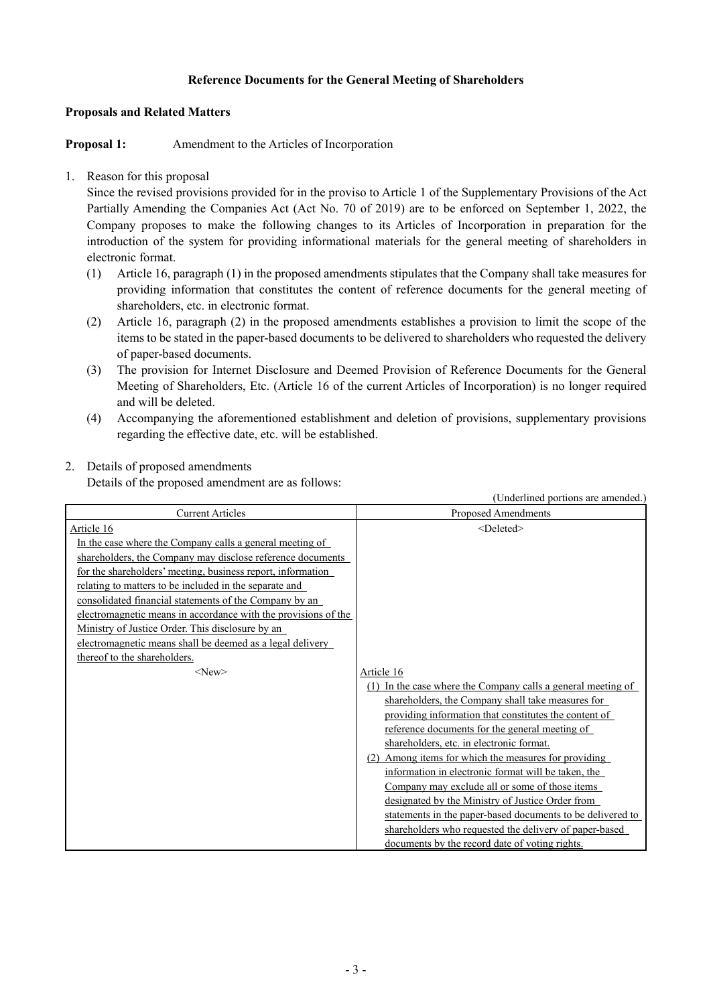## **Reference Documents for the General Meeting of Shareholders**

## **Proposals and Related Matters**

**Proposal 1:** Amendment to the Articles of Incorporation

## 1. Reason for this proposal

Since the revised provisions provided for in the proviso to Article 1 of the Supplementary Provisions of the Act Partially Amending the Companies Act (Act No. 70 of 2019) are to be enforced on September 1, 2022, the Company proposes to make the following changes to its Articles of Incorporation in preparation for the introduction of the system for providing informational materials for the general meeting of shareholders in electronic format.

- (1) Article 16, paragraph (1) in the proposed amendments stipulates that the Company shall take measures for providing information that constitutes the content of reference documents for the general meeting of shareholders, etc. in electronic format.
- (2) Article 16, paragraph (2) in the proposed amendments establishes a provision to limit the scope of the items to be stated in the paper-based documents to be delivered to shareholders who requested the delivery of paper-based documents.
- (3) The provision for Internet Disclosure and Deemed Provision of Reference Documents for the General Meeting of Shareholders, Etc. (Article 16 of the current Articles of Incorporation) is no longer required and will be deleted.
- (4) Accompanying the aforementioned establishment and deletion of provisions, supplementary provisions regarding the effective date, etc. will be established.

## 2. Details of proposed amendments

Details of the proposed amendment are as follows:

|                                                                                                                                                                                                                                                                                                       | (Underlined portions are amended.)                                                                                                                                                                                                                                                                                                                                                                                                                                                                                                                                                                                                  |
|-------------------------------------------------------------------------------------------------------------------------------------------------------------------------------------------------------------------------------------------------------------------------------------------------------|-------------------------------------------------------------------------------------------------------------------------------------------------------------------------------------------------------------------------------------------------------------------------------------------------------------------------------------------------------------------------------------------------------------------------------------------------------------------------------------------------------------------------------------------------------------------------------------------------------------------------------------|
| <b>Current Articles</b>                                                                                                                                                                                                                                                                               | Proposed Amendments                                                                                                                                                                                                                                                                                                                                                                                                                                                                                                                                                                                                                 |
| Article 16<br>In the case where the Company calls a general meeting of<br>shareholders, the Company may disclose reference documents                                                                                                                                                                  | <deleted></deleted>                                                                                                                                                                                                                                                                                                                                                                                                                                                                                                                                                                                                                 |
| for the shareholders' meeting, business report, information<br>relating to matters to be included in the separate and<br>consolidated financial statements of the Company by an<br>electromagnetic means in accordance with the provisions of the<br>Ministry of Justice Order. This disclosure by an |                                                                                                                                                                                                                                                                                                                                                                                                                                                                                                                                                                                                                                     |
| electromagnetic means shall be deemed as a legal delivery<br>thereof to the shareholders.<br>$<$ New $>$                                                                                                                                                                                              | Article 16<br>(1) In the case where the Company calls a general meeting of<br>shareholders, the Company shall take measures for<br>providing information that constitutes the content of<br>reference documents for the general meeting of<br>shareholders, etc. in electronic format.<br>(2) Among items for which the measures for providing<br>information in electronic format will be taken, the<br>Company may exclude all or some of those items<br>designated by the Ministry of Justice Order from<br>statements in the paper-based documents to be delivered to<br>shareholders who requested the delivery of paper-based |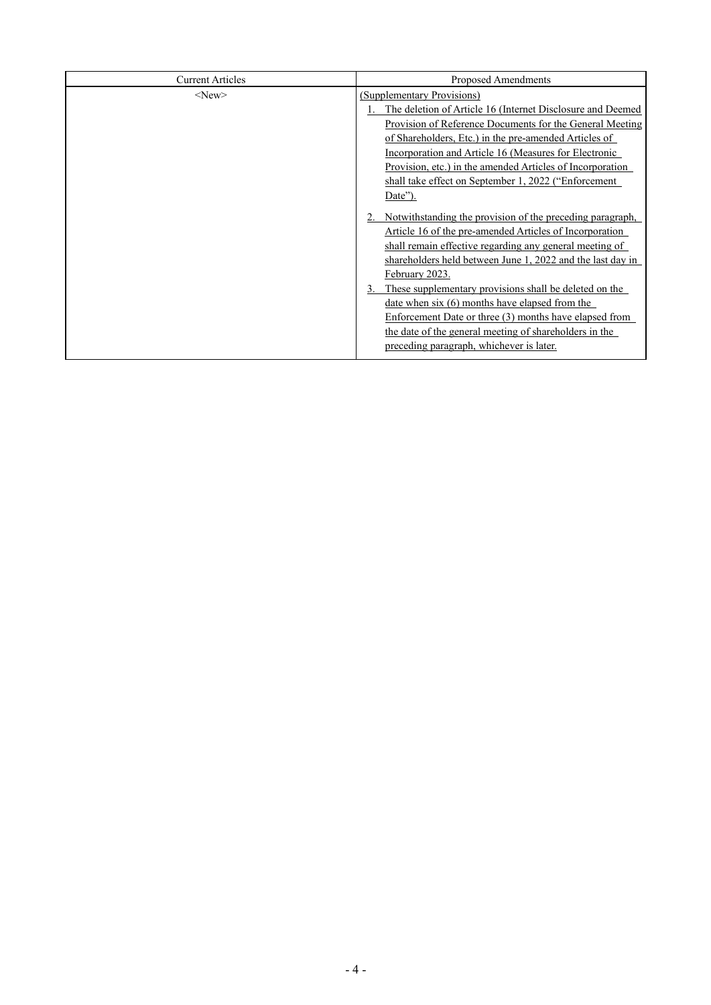| <b>Current Articles</b> | <b>Proposed Amendments</b>                                                                                                                                                                                                                                                |  |  |  |
|-------------------------|---------------------------------------------------------------------------------------------------------------------------------------------------------------------------------------------------------------------------------------------------------------------------|--|--|--|
| $<$ New $>$             | (Supplementary Provisions)<br>The deletion of Article 16 (Internet Disclosure and Deemed<br>Provision of Reference Documents for the General Meeting<br>of Shareholders, Etc.) in the pre-amended Articles of                                                             |  |  |  |
|                         | Incorporation and Article 16 (Measures for Electronic<br>Provision, etc.) in the amended Articles of Incorporation<br>shall take effect on September 1, 2022 ("Enforcement<br>Date").                                                                                     |  |  |  |
|                         | 2. Notwithstanding the provision of the preceding paragraph,<br>Article 16 of the pre-amended Articles of Incorporation<br>shall remain effective regarding any general meeting of<br>shareholders held between June 1, 2022 and the last day in<br>February 2023.        |  |  |  |
|                         | These supplementary provisions shall be deleted on the<br>date when $six(6)$ months have elapsed from the<br>Enforcement Date or three (3) months have elapsed from<br>the date of the general meeting of shareholders in the<br>preceding paragraph, whichever is later. |  |  |  |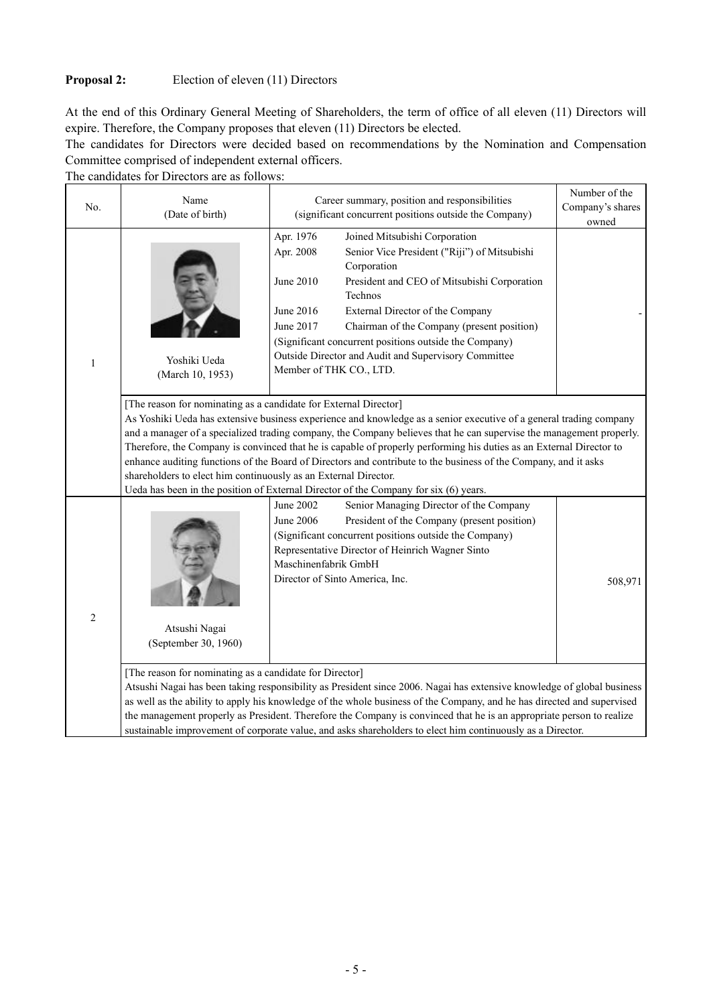## **Proposal 2:** Election of eleven (11) Directors

At the end of this Ordinary General Meeting of Shareholders, the term of office of all eleven (11) Directors will expire. Therefore, the Company proposes that eleven (11) Directors be elected.

The candidates for Directors were decided based on recommendations by the Nomination and Compensation Committee comprised of independent external officers.

The candidates for Directors are as follows:

| No.            | Name<br>(Date of birth)                                                                                                             | Career summary, position and responsibilities<br>(significant concurrent positions outside the Company)                                                                                                                                                                                                                                                                                                                                                                                                                                                                     | Number of the<br>Company's shares<br>owned |
|----------------|-------------------------------------------------------------------------------------------------------------------------------------|-----------------------------------------------------------------------------------------------------------------------------------------------------------------------------------------------------------------------------------------------------------------------------------------------------------------------------------------------------------------------------------------------------------------------------------------------------------------------------------------------------------------------------------------------------------------------------|--------------------------------------------|
| $\mathbf{1}$   | Yoshiki Ueda<br>(March 10, 1953)                                                                                                    | Apr. 1976<br>Joined Mitsubishi Corporation<br>Apr. 2008<br>Senior Vice President ("Riji") of Mitsubishi<br>Corporation<br>June 2010<br>President and CEO of Mitsubishi Corporation<br>Technos<br>June 2016<br>External Director of the Company<br>June 2017<br>Chairman of the Company (present position)<br>(Significant concurrent positions outside the Company)<br>Outside Director and Audit and Supervisory Committee<br>Member of THK CO., LTD.                                                                                                                      |                                            |
|                | [The reason for nominating as a candidate for External Director]<br>shareholders to elect him continuously as an External Director. | As Yoshiki Ueda has extensive business experience and knowledge as a senior executive of a general trading company<br>and a manager of a specialized trading company, the Company believes that he can supervise the management properly.<br>Therefore, the Company is convinced that he is capable of properly performing his duties as an External Director to<br>enhance auditing functions of the Board of Directors and contribute to the business of the Company, and it asks<br>Ueda has been in the position of External Director of the Company for six (6) years. |                                            |
| $\overline{c}$ | Atsushi Nagai<br>(September 30, 1960)                                                                                               | Senior Managing Director of the Company<br>June 2002<br><b>June 2006</b><br>President of the Company (present position)<br>(Significant concurrent positions outside the Company)<br>Representative Director of Heinrich Wagner Sinto<br>Maschinenfabrik GmbH<br>Director of Sinto America, Inc.                                                                                                                                                                                                                                                                            | 508,971                                    |
|                | [The reason for nominating as a candidate for Director]                                                                             | Atsushi Nagai has been taking responsibility as President since 2006. Nagai has extensive knowledge of global business<br>as well as the ability to apply his knowledge of the whole business of the Company, and he has directed and supervised<br>the management properly as President. Therefore the Company is convinced that he is an appropriate person to realize<br>sustainable improvement of corporate value, and asks shareholders to elect him continuously as a Director.                                                                                      |                                            |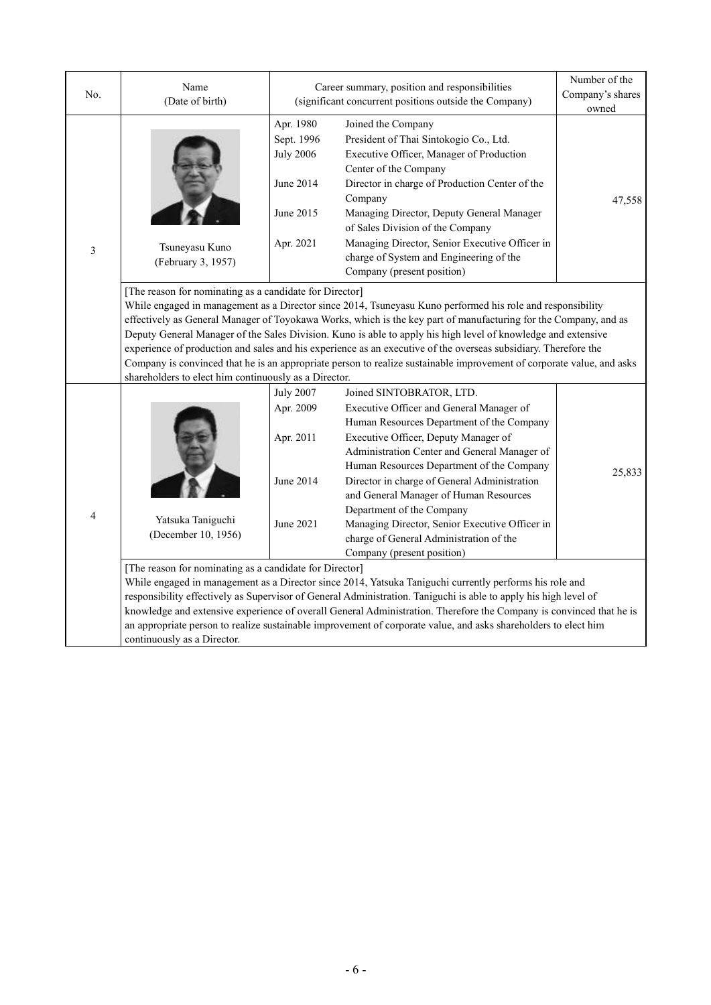| No.            | Name<br>(Date of birth)                                                                                                                                                                                                                                                                                                                                                                                                                                                                                                                                                                                                                                                                                         | Career summary, position and responsibilities<br>(significant concurrent positions outside the Company) | Number of the<br>Company's shares<br>owned                                                                                                                                                                                                                                                                                                                                                                                                                                                               |        |  |  |  |
|----------------|-----------------------------------------------------------------------------------------------------------------------------------------------------------------------------------------------------------------------------------------------------------------------------------------------------------------------------------------------------------------------------------------------------------------------------------------------------------------------------------------------------------------------------------------------------------------------------------------------------------------------------------------------------------------------------------------------------------------|---------------------------------------------------------------------------------------------------------|----------------------------------------------------------------------------------------------------------------------------------------------------------------------------------------------------------------------------------------------------------------------------------------------------------------------------------------------------------------------------------------------------------------------------------------------------------------------------------------------------------|--------|--|--|--|
| $\mathfrak{Z}$ | Tsuneyasu Kuno<br>(February 3, 1957)                                                                                                                                                                                                                                                                                                                                                                                                                                                                                                                                                                                                                                                                            | Apr. 1980<br>Sept. 1996<br><b>July 2006</b><br>June 2014<br>June 2015<br>Apr. 2021                      | Joined the Company<br>President of Thai Sintokogio Co., Ltd.<br>Executive Officer, Manager of Production<br>Center of the Company<br>Director in charge of Production Center of the<br>Company<br>Managing Director, Deputy General Manager<br>of Sales Division of the Company<br>Managing Director, Senior Executive Officer in<br>charge of System and Engineering of the<br>Company (present position)                                                                                               |        |  |  |  |
|                | [The reason for nominating as a candidate for Director]<br>While engaged in management as a Director since 2014, Tsuneyasu Kuno performed his role and responsibility<br>effectively as General Manager of Toyokawa Works, which is the key part of manufacturing for the Company, and as<br>Deputy General Manager of the Sales Division. Kuno is able to apply his high level of knowledge and extensive<br>experience of production and sales and his experience as an executive of the overseas subsidiary. Therefore the<br>Company is convinced that he is an appropriate person to realize sustainable improvement of corporate value, and asks<br>shareholders to elect him continuously as a Director. |                                                                                                         |                                                                                                                                                                                                                                                                                                                                                                                                                                                                                                          |        |  |  |  |
| $\overline{4}$ | Yatsuka Taniguchi<br>(December 10, 1956)                                                                                                                                                                                                                                                                                                                                                                                                                                                                                                                                                                                                                                                                        | <b>July 2007</b><br>Apr. 2009<br>Apr. 2011<br>June 2014<br>June 2021                                    | Joined SINTOBRATOR, LTD.<br>Executive Officer and General Manager of<br>Human Resources Department of the Company<br>Executive Officer, Deputy Manager of<br>Administration Center and General Manager of<br>Human Resources Department of the Company<br>Director in charge of General Administration<br>and General Manager of Human Resources<br>Department of the Company<br>Managing Director, Senior Executive Officer in<br>charge of General Administration of the<br>Company (present position) | 25,833 |  |  |  |
|                | [The reason for nominating as a candidate for Director]<br>While engaged in management as a Director since 2014, Yatsuka Taniguchi currently performs his role and<br>responsibility effectively as Supervisor of General Administration. Taniguchi is able to apply his high level of<br>knowledge and extensive experience of overall General Administration. Therefore the Company is convinced that he is<br>an appropriate person to realize sustainable improvement of corporate value, and asks shareholders to elect him<br>continuously as a Director.                                                                                                                                                 |                                                                                                         |                                                                                                                                                                                                                                                                                                                                                                                                                                                                                                          |        |  |  |  |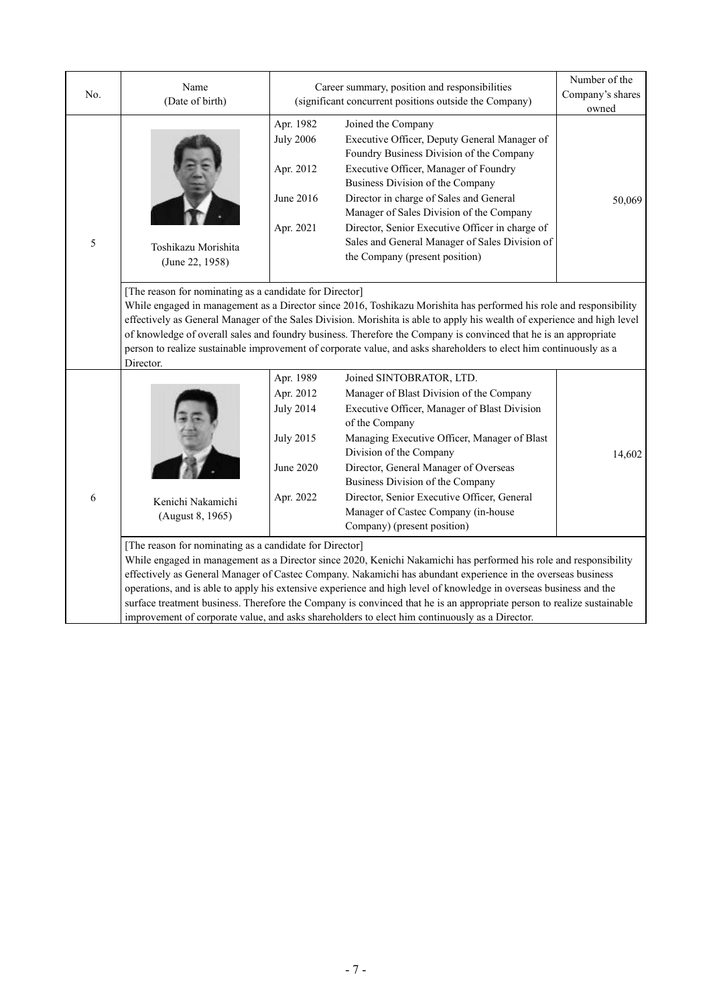| No. | Name<br>(Date of birth)                                                                                                                                                                                                                                                                                                                                                                                                                                                                                                                                                                                                                        | Career summary, position and responsibilities<br>(significant concurrent positions outside the Company)                                                                                                                                                                                                                                                                                                                                                                                           | Number of the<br>Company's shares<br>owned                                                                                                                                                                                                                                                                                                                                                                          |        |  |  |  |  |
|-----|------------------------------------------------------------------------------------------------------------------------------------------------------------------------------------------------------------------------------------------------------------------------------------------------------------------------------------------------------------------------------------------------------------------------------------------------------------------------------------------------------------------------------------------------------------------------------------------------------------------------------------------------|---------------------------------------------------------------------------------------------------------------------------------------------------------------------------------------------------------------------------------------------------------------------------------------------------------------------------------------------------------------------------------------------------------------------------------------------------------------------------------------------------|---------------------------------------------------------------------------------------------------------------------------------------------------------------------------------------------------------------------------------------------------------------------------------------------------------------------------------------------------------------------------------------------------------------------|--------|--|--|--|--|
| 5   | Toshikazu Morishita<br>(June 22, 1958)                                                                                                                                                                                                                                                                                                                                                                                                                                                                                                                                                                                                         | Apr. 1982<br>Joined the Company<br><b>July 2006</b><br>Executive Officer, Deputy General Manager of<br>Foundry Business Division of the Company<br>Apr. 2012<br>Executive Officer, Manager of Foundry<br>Business Division of the Company<br>June 2016<br>Director in charge of Sales and General<br>Manager of Sales Division of the Company<br>Director, Senior Executive Officer in charge of<br>Apr. 2021<br>Sales and General Manager of Sales Division of<br>the Company (present position) |                                                                                                                                                                                                                                                                                                                                                                                                                     | 50,069 |  |  |  |  |
|     | [The reason for nominating as a candidate for Director]<br>While engaged in management as a Director since 2016, Toshikazu Morishita has performed his role and responsibility<br>effectively as General Manager of the Sales Division. Morishita is able to apply his wealth of experience and high level<br>of knowledge of overall sales and foundry business. Therefore the Company is convinced that he is an appropriate<br>person to realize sustainable improvement of corporate value, and asks shareholders to elect him continuously as a<br>Director.                                                                              |                                                                                                                                                                                                                                                                                                                                                                                                                                                                                                   |                                                                                                                                                                                                                                                                                                                                                                                                                     |        |  |  |  |  |
| 6   | Kenichi Nakamichi<br>(August 8, 1965)                                                                                                                                                                                                                                                                                                                                                                                                                                                                                                                                                                                                          | Apr. 1989<br>Apr. 2012<br><b>July 2014</b><br><b>July 2015</b><br><b>June 2020</b><br>Apr. 2022                                                                                                                                                                                                                                                                                                                                                                                                   | Joined SINTOBRATOR, LTD.<br>Manager of Blast Division of the Company<br>Executive Officer, Manager of Blast Division<br>of the Company<br>Managing Executive Officer, Manager of Blast<br>Division of the Company<br>Director, General Manager of Overseas<br>Business Division of the Company<br>Director, Senior Executive Officer, General<br>Manager of Castec Company (in-house<br>Company) (present position) | 14,602 |  |  |  |  |
|     | [The reason for nominating as a candidate for Director]<br>While engaged in management as a Director since 2020, Kenichi Nakamichi has performed his role and responsibility<br>effectively as General Manager of Castec Company. Nakamichi has abundant experience in the overseas business<br>operations, and is able to apply his extensive experience and high level of knowledge in overseas business and the<br>surface treatment business. Therefore the Company is convinced that he is an appropriate person to realize sustainable<br>improvement of corporate value, and asks shareholders to elect him continuously as a Director. |                                                                                                                                                                                                                                                                                                                                                                                                                                                                                                   |                                                                                                                                                                                                                                                                                                                                                                                                                     |        |  |  |  |  |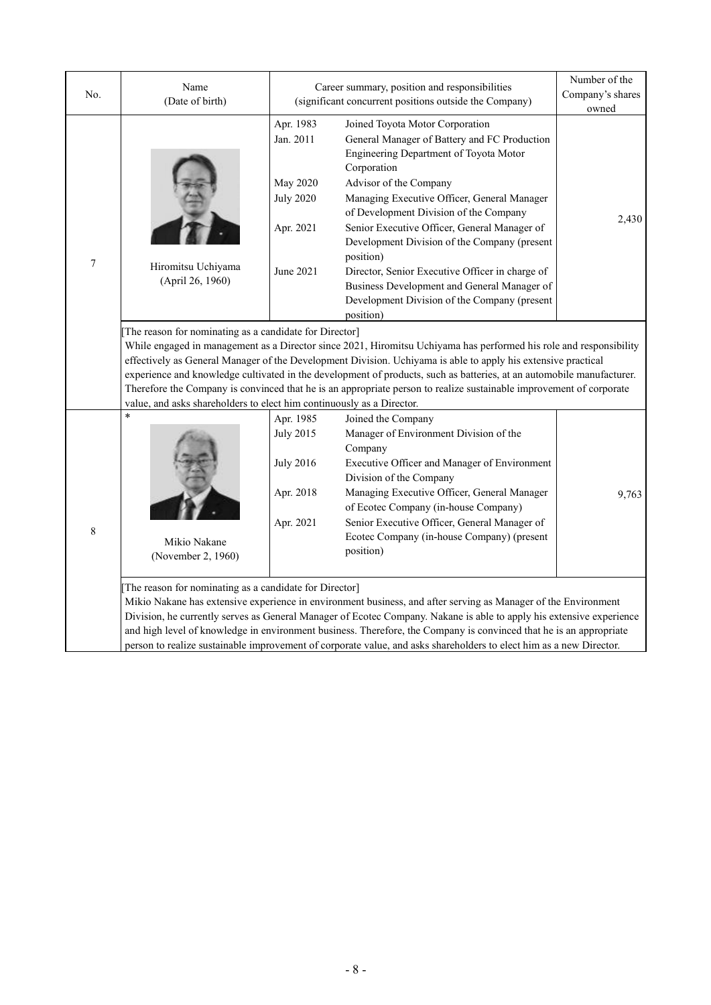| No.              | Name<br>(Date of birth)                                                                                                                                                   | Career summary, position and responsibilities<br>(significant concurrent positions outside the Company) | Number of the<br>Company's shares<br>owned                                                                                                                                                                                                                                                                                                                                                                                                                                                                                                                                                                                                                                                                                                                                                                                                                                                                                                                                                                                     |       |
|------------------|---------------------------------------------------------------------------------------------------------------------------------------------------------------------------|---------------------------------------------------------------------------------------------------------|--------------------------------------------------------------------------------------------------------------------------------------------------------------------------------------------------------------------------------------------------------------------------------------------------------------------------------------------------------------------------------------------------------------------------------------------------------------------------------------------------------------------------------------------------------------------------------------------------------------------------------------------------------------------------------------------------------------------------------------------------------------------------------------------------------------------------------------------------------------------------------------------------------------------------------------------------------------------------------------------------------------------------------|-------|
| $\boldsymbol{7}$ | Hiromitsu Uchiyama<br>(April 26, 1960)<br>The reason for nominating as a candidate for Director]<br>value, and asks shareholders to elect him continuously as a Director. | Apr. 1983<br>Jan. 2011<br><b>May 2020</b><br><b>July 2020</b><br>Apr. 2021<br>June 2021                 | Joined Toyota Motor Corporation<br>General Manager of Battery and FC Production<br>Engineering Department of Toyota Motor<br>Corporation<br>Advisor of the Company<br>Managing Executive Officer, General Manager<br>of Development Division of the Company<br>Senior Executive Officer, General Manager of<br>Development Division of the Company (present<br>position)<br>Director, Senior Executive Officer in charge of<br>Business Development and General Manager of<br>Development Division of the Company (present<br>position)<br>While engaged in management as a Director since 2021, Hiromitsu Uchiyama has performed his role and responsibility<br>effectively as General Manager of the Development Division. Uchiyama is able to apply his extensive practical<br>experience and knowledge cultivated in the development of products, such as batteries, at an automobile manufacturer.<br>Therefore the Company is convinced that he is an appropriate person to realize sustainable improvement of corporate | 2,430 |
| 8                | $\ast$<br>Mikio Nakane<br>(November 2, 1960)<br>The reason for nominating as a candidate for Director]                                                                    | Apr. 1985<br><b>July 2015</b><br><b>July 2016</b><br>Apr. 2018<br>Apr. 2021                             | Joined the Company<br>Manager of Environment Division of the<br>Company<br>Executive Officer and Manager of Environment<br>Division of the Company<br>Managing Executive Officer, General Manager<br>of Ecotec Company (in-house Company)<br>Senior Executive Officer, General Manager of<br>Ecotec Company (in-house Company) (present<br>position)<br>Mikio Nakane has extensive experience in environment business, and after serving as Manager of the Environment<br>Division, he currently serves as General Manager of Ecotec Company. Nakane is able to apply his extensive experience<br>and high level of knowledge in environment business. Therefore, the Company is convinced that he is an appropriate                                                                                                                                                                                                                                                                                                           | 9,763 |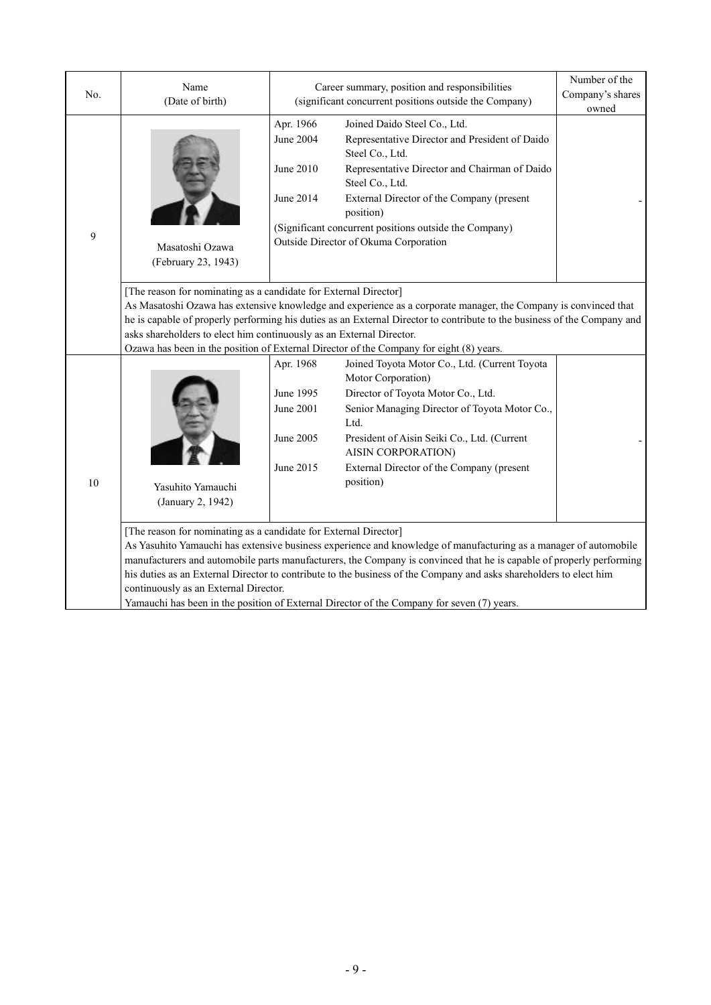| No.    | Name<br>(Date of birth)                                                                                                                                                                                                                                                                                                                                                                                                                                                                                                                                                   | Career summary, position and responsibilities<br>(significant concurrent positions outside the Company) | Number of the<br>Company's shares<br>owned                                                                                                                                                                                                                                                                                             |  |  |  |  |
|--------|---------------------------------------------------------------------------------------------------------------------------------------------------------------------------------------------------------------------------------------------------------------------------------------------------------------------------------------------------------------------------------------------------------------------------------------------------------------------------------------------------------------------------------------------------------------------------|---------------------------------------------------------------------------------------------------------|----------------------------------------------------------------------------------------------------------------------------------------------------------------------------------------------------------------------------------------------------------------------------------------------------------------------------------------|--|--|--|--|
| 9      | Masatoshi Ozawa<br>(February 23, 1943)                                                                                                                                                                                                                                                                                                                                                                                                                                                                                                                                    | Apr. 1966<br>June 2004<br>June 2010<br>June 2014                                                        | Joined Daido Steel Co., Ltd.<br>Representative Director and President of Daido<br>Steel Co., Ltd.<br>Representative Director and Chairman of Daido<br>Steel Co., Ltd.<br>External Director of the Company (present<br>position)<br>(Significant concurrent positions outside the Company)<br>Outside Director of Okuma Corporation     |  |  |  |  |
|        | [The reason for nominating as a candidate for External Director]<br>asks shareholders to elect him continuously as an External Director.                                                                                                                                                                                                                                                                                                                                                                                                                                  |                                                                                                         | As Masatoshi Ozawa has extensive knowledge and experience as a corporate manager, the Company is convinced that<br>he is capable of properly performing his duties as an External Director to contribute to the business of the Company and<br>Ozawa has been in the position of External Director of the Company for eight (8) years. |  |  |  |  |
| $10\,$ | Yasuhito Yamauchi<br>(January 2, 1942)                                                                                                                                                                                                                                                                                                                                                                                                                                                                                                                                    | Apr. 1968<br>June 1995<br>June 2001<br>June 2005<br>June 2015                                           | Joined Toyota Motor Co., Ltd. (Current Toyota<br>Motor Corporation)<br>Director of Toyota Motor Co., Ltd.<br>Senior Managing Director of Toyota Motor Co.,<br>Ltd.<br>President of Aisin Seiki Co., Ltd. (Current<br>AISIN CORPORATION)<br>External Director of the Company (present<br>position)                                      |  |  |  |  |
|        | [The reason for nominating as a candidate for External Director]<br>As Yasuhito Yamauchi has extensive business experience and knowledge of manufacturing as a manager of automobile<br>manufacturers and automobile parts manufacturers, the Company is convinced that he is capable of properly performing<br>his duties as an External Director to contribute to the business of the Company and asks shareholders to elect him<br>continuously as an External Director.<br>Yamauchi has been in the position of External Director of the Company for seven (7) years. |                                                                                                         |                                                                                                                                                                                                                                                                                                                                        |  |  |  |  |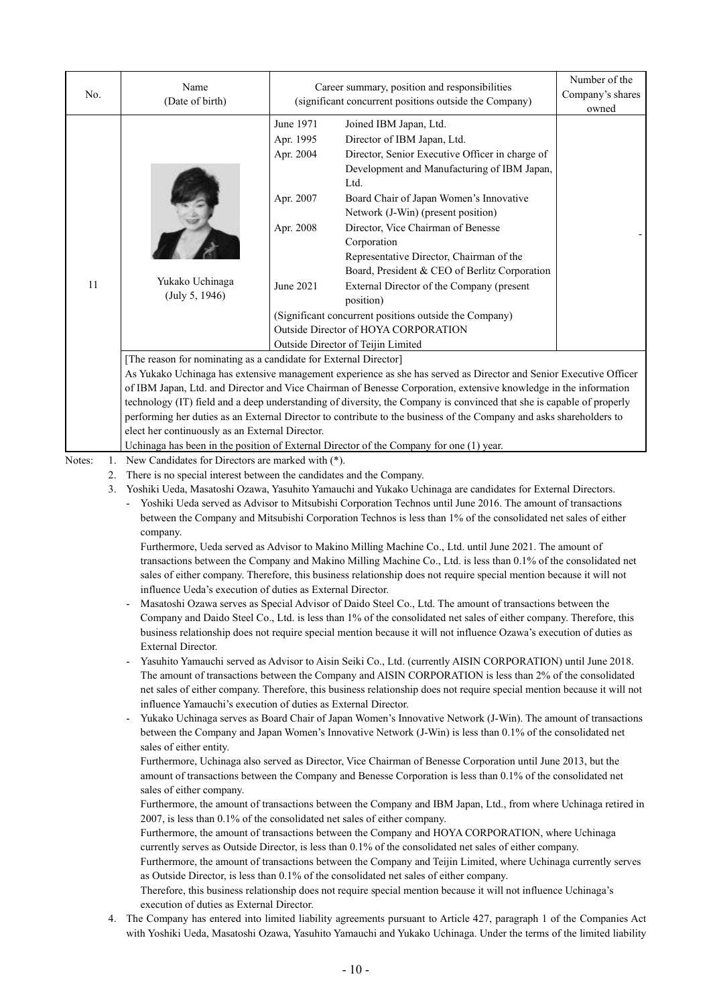| No.                      | Name<br>(Date of birth)                                                                                                                                                                                                                                                                                                                                                                                                                                                                                                                                                                                                                                                                                                                                                                                                                                                                                                                                                                                                                                                                                                                                                                                                                                                                                                                                                                                                                                                                                                                                                                                                                                                                                                                                                                                                                                                                                                                                                                                                                                                                                                                                                                                                                                                                                                                                                                                                                                                                                                                                                                                                                                                                                                                                                                                                                                                                                                                                                                                                                                                                                                                                                                      |                                                                            | Career summary, position and responsibilities<br>(significant concurrent positions outside the Company)                                                                                                                                                                                                                                                                                                                                                                                                                                                                                              | Number of the<br>Company's shares<br>owned |  |  |  |
|--------------------------|----------------------------------------------------------------------------------------------------------------------------------------------------------------------------------------------------------------------------------------------------------------------------------------------------------------------------------------------------------------------------------------------------------------------------------------------------------------------------------------------------------------------------------------------------------------------------------------------------------------------------------------------------------------------------------------------------------------------------------------------------------------------------------------------------------------------------------------------------------------------------------------------------------------------------------------------------------------------------------------------------------------------------------------------------------------------------------------------------------------------------------------------------------------------------------------------------------------------------------------------------------------------------------------------------------------------------------------------------------------------------------------------------------------------------------------------------------------------------------------------------------------------------------------------------------------------------------------------------------------------------------------------------------------------------------------------------------------------------------------------------------------------------------------------------------------------------------------------------------------------------------------------------------------------------------------------------------------------------------------------------------------------------------------------------------------------------------------------------------------------------------------------------------------------------------------------------------------------------------------------------------------------------------------------------------------------------------------------------------------------------------------------------------------------------------------------------------------------------------------------------------------------------------------------------------------------------------------------------------------------------------------------------------------------------------------------------------------------------------------------------------------------------------------------------------------------------------------------------------------------------------------------------------------------------------------------------------------------------------------------------------------------------------------------------------------------------------------------------------------------------------------------------------------------------------------------|----------------------------------------------------------------------------|------------------------------------------------------------------------------------------------------------------------------------------------------------------------------------------------------------------------------------------------------------------------------------------------------------------------------------------------------------------------------------------------------------------------------------------------------------------------------------------------------------------------------------------------------------------------------------------------------|--------------------------------------------|--|--|--|
| 11                       | 3<br>Yukako Uchinaga<br>(July 5, 1946)                                                                                                                                                                                                                                                                                                                                                                                                                                                                                                                                                                                                                                                                                                                                                                                                                                                                                                                                                                                                                                                                                                                                                                                                                                                                                                                                                                                                                                                                                                                                                                                                                                                                                                                                                                                                                                                                                                                                                                                                                                                                                                                                                                                                                                                                                                                                                                                                                                                                                                                                                                                                                                                                                                                                                                                                                                                                                                                                                                                                                                                                                                                                                       | June 1971<br>Apr. 1995<br>Apr. 2004<br>Apr. 2007<br>Apr. 2008<br>June 2021 | Joined IBM Japan, Ltd.<br>Director of IBM Japan, Ltd.<br>Director, Senior Executive Officer in charge of<br>Development and Manufacturing of IBM Japan,<br>Ltd.<br>Board Chair of Japan Women's Innovative<br>Network (J-Win) (present position)<br>Director, Vice Chairman of Benesse<br>Corporation<br>Representative Director, Chairman of the<br>Board, President & CEO of Berlitz Corporation<br>External Director of the Company (present<br>position)<br>(Significant concurrent positions outside the Company)<br>Outside Director of HOYA CORPORATION<br>Outside Director of Teijin Limited |                                            |  |  |  |
|                          | [The reason for nominating as a candidate for External Director]                                                                                                                                                                                                                                                                                                                                                                                                                                                                                                                                                                                                                                                                                                                                                                                                                                                                                                                                                                                                                                                                                                                                                                                                                                                                                                                                                                                                                                                                                                                                                                                                                                                                                                                                                                                                                                                                                                                                                                                                                                                                                                                                                                                                                                                                                                                                                                                                                                                                                                                                                                                                                                                                                                                                                                                                                                                                                                                                                                                                                                                                                                                             |                                                                            | As Yukako Uchinaga has extensive management experience as she has served as Director and Senior Executive Officer<br>of IBM Japan, Ltd. and Director and Vice Chairman of Benesse Corporation, extensive knowledge in the information<br>technology (IT) field and a deep understanding of diversity, the Company is convinced that she is capable of properly<br>performing her duties as an External Director to contribute to the business of the Company and asks shareholders to                                                                                                                |                                            |  |  |  |
| Notes:<br>1.<br>2.<br>3. | elect her continuously as an External Director.<br>Uchinaga has been in the position of External Director of the Company for one (1) year.<br>New Candidates for Directors are marked with (*).<br>There is no special interest between the candidates and the Company.<br>Yoshiki Ueda, Masatoshi Ozawa, Yasuhito Yamauchi and Yukako Uchinaga are candidates for External Directors.<br>Yoshiki Ueda served as Advisor to Mitsubishi Corporation Technos until June 2016. The amount of transactions<br>between the Company and Mitsubishi Corporation Technos is less than 1% of the consolidated net sales of either<br>company.<br>Furthermore, Ueda served as Advisor to Makino Milling Machine Co., Ltd. until June 2021. The amount of<br>transactions between the Company and Makino Milling Machine Co., Ltd. is less than 0.1% of the consolidated net<br>sales of either company. Therefore, this business relationship does not require special mention because it will not<br>influence Ueda's execution of duties as External Director.<br>Masatoshi Ozawa serves as Special Advisor of Daido Steel Co., Ltd. The amount of transactions between the<br>Company and Daido Steel Co., Ltd. is less than 1% of the consolidated net sales of either company. Therefore, this<br>business relationship does not require special mention because it will not influence Ozawa's execution of duties as<br>External Director.<br>Yasuhito Yamauchi served as Advisor to Aisin Seiki Co., Ltd. (currently AISIN CORPORATION) until June 2018.<br>$\overline{\phantom{a}}$<br>The amount of transactions between the Company and AISIN CORPORATION is less than 2% of the consolidated<br>net sales of either company. Therefore, this business relationship does not require special mention because it will not<br>influence Yamauchi's execution of duties as External Director.<br>Yukako Uchinaga serves as Board Chair of Japan Women's Innovative Network (J-Win). The amount of transactions<br>$\overline{\phantom{a}}$<br>between the Company and Japan Women's Innovative Network (J-Win) is less than 0.1% of the consolidated net<br>sales of either entity.<br>Furthermore, Uchinaga also served as Director, Vice Chairman of Benesse Corporation until June 2013, but the<br>amount of transactions between the Company and Benesse Corporation is less than 0.1% of the consolidated net<br>sales of either company.<br>Furthermore, the amount of transactions between the Company and IBM Japan, Ltd., from where Uchinaga retired in<br>2007, is less than 0.1% of the consolidated net sales of either company.<br>Furthermore, the amount of transactions between the Company and HOYA CORPORATION, where Uchinaga<br>currently serves as Outside Director, is less than 0.1% of the consolidated net sales of either company.<br>Furthermore, the amount of transactions between the Company and Teijin Limited, where Uchinaga currently serves<br>as Outside Director, is less than 0.1% of the consolidated net sales of either company.<br>Therefore, this business relationship does not require special mention because it will not influence Uchinaga's |                                                                            |                                                                                                                                                                                                                                                                                                                                                                                                                                                                                                                                                                                                      |                                            |  |  |  |

4. The Company has entered into limited liability agreements pursuant to Article 427, paragraph 1 of the Companies Act with Yoshiki Ueda, Masatoshi Ozawa, Yasuhito Yamauchi and Yukako Uchinaga. Under the terms of the limited liability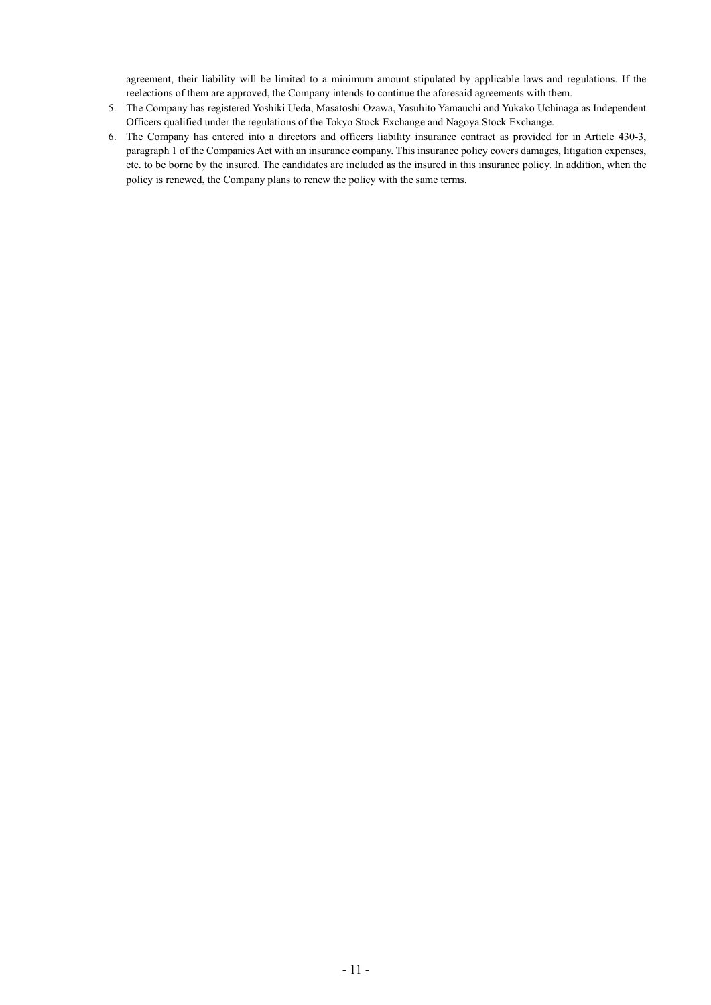agreement, their liability will be limited to a minimum amount stipulated by applicable laws and regulations. If the reelections of them are approved, the Company intends to continue the aforesaid agreements with them.

- 5. The Company has registered Yoshiki Ueda, Masatoshi Ozawa, Yasuhito Yamauchi and Yukako Uchinaga as Independent Officers qualified under the regulations of the Tokyo Stock Exchange and Nagoya Stock Exchange.
- 6. The Company has entered into a directors and officers liability insurance contract as provided for in Article 430-3, paragraph 1 of the Companies Act with an insurance company. This insurance policy covers damages, litigation expenses, etc. to be borne by the insured. The candidates are included as the insured in this insurance policy. In addition, when the policy is renewed, the Company plans to renew the policy with the same terms.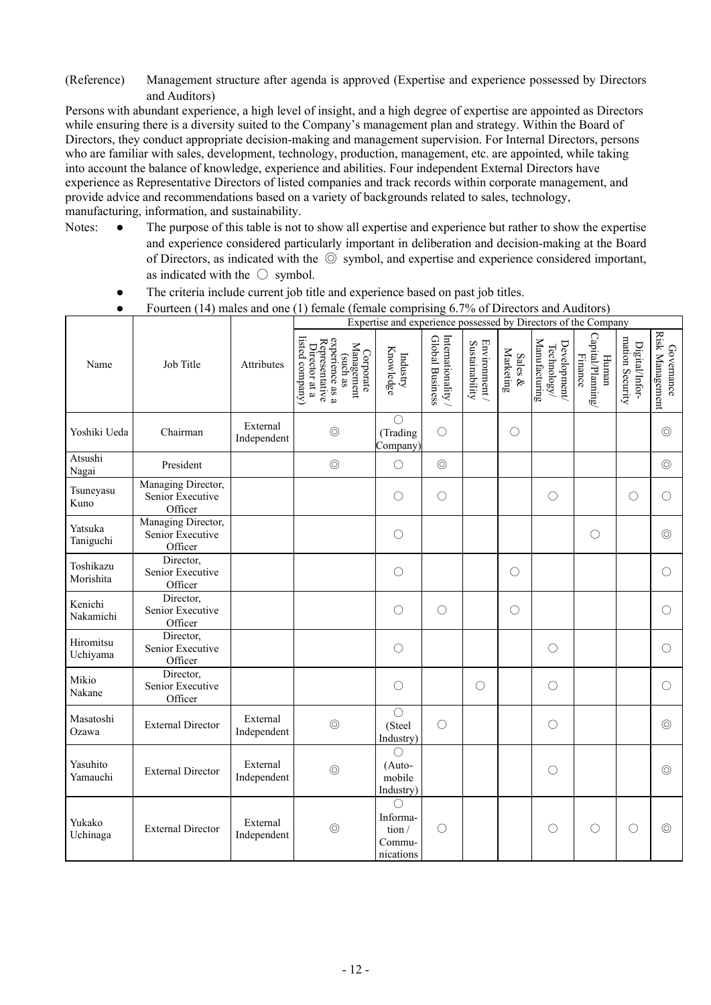(Reference) Management structure after agenda is approved (Expertise and experience possessed by Directors and Auditors)

Persons with abundant experience, a high level of insight, and a high degree of expertise are appointed as Directors while ensuring there is a diversity suited to the Company's management plan and strategy. Within the Board of Directors, they conduct appropriate decision-making and management supervision. For Internal Directors, persons who are familiar with sales, development, technology, production, management, etc. are appointed, while taking into account the balance of knowledge, experience and abilities. Four independent External Directors have experience as Representative Directors of listed companies and track records within corporate management, and provide advice and recommendations based on a variety of backgrounds related to sales, technology, manufacturing, information, and sustainability.

- Notes: The purpose of this table is not to show all expertise and experience but rather to show the expertise and experience considered particularly important in deliberation and decision-making at the Board of Directors, as indicated with the ◎ symbol, and expertise and experience considered important, as indicated with the  $\circ$  symbol.
	- The criteria include current job title and experience based on past job titles.
	- Fourteen (14) males and one (1) female (female comprising 6.7% of Directors and Auditors)

|                        |                                                   |                         | Expertise and experience possessed by Directors of the Company                                               |                                                  |                                     |                                 |                         |                                                     |                                                       |                                   |                                      |
|------------------------|---------------------------------------------------|-------------------------|--------------------------------------------------------------------------------------------------------------|--------------------------------------------------|-------------------------------------|---------------------------------|-------------------------|-----------------------------------------------------|-------------------------------------------------------|-----------------------------------|--------------------------------------|
| Name                   | Job Title                                         | Attributes              | listed company)<br>experience as a<br>Representative<br>Director at a<br>Management<br>Corporate<br>(such as | Knowledge<br>Industry                            | Internationality<br>Global Business | Environment /<br>Sustainability | Marketing<br>Sales $\&$ | Manufacturing<br>Development<br>${\rm Technology}/$ | Capital/Planning<br><b>Finance</b><br>$\mbox{Hunnan}$ | mation Security<br>Digital/Infor- | <b>Risk Management</b><br>Governance |
| Yoshiki Ueda           | Chairman                                          | External<br>Independent | $\circledcirc$                                                                                               | $\bigcirc$<br>(Trading<br>Company)               | $\bigcirc$                          |                                 | $\bigcirc$              |                                                     |                                                       |                                   | $\circledcirc$                       |
| Atsushi<br>Nagai       | President                                         |                         | $\circledcirc$                                                                                               | $\bigcirc$                                       | $\circledcirc$                      |                                 |                         |                                                     |                                                       |                                   | $\circledcirc$                       |
| Tsuneyasu<br>Kuno      | Managing Director,<br>Senior Executive<br>Officer |                         |                                                                                                              | $\bigcirc$                                       | $\bigcirc$                          |                                 |                         | $\bigcirc$                                          |                                                       | $\bigcirc$                        | $\bigcirc$                           |
| Yatsuka<br>Taniguchi   | Managing Director,<br>Senior Executive<br>Officer |                         |                                                                                                              | $\bigcirc$                                       |                                     |                                 |                         |                                                     | $\bigcirc$                                            |                                   | $\circledcirc$                       |
| Toshikazu<br>Morishita | Director,<br>Senior Executive<br>Officer          |                         |                                                                                                              | $\bigcirc$                                       |                                     |                                 | $\bigcirc$              |                                                     |                                                       |                                   | ∩                                    |
| Kenichi<br>Nakamichi   | Director,<br>Senior Executive<br>Officer          |                         |                                                                                                              | $\bigcirc$                                       | $\bigcirc$                          |                                 | $\bigcirc$              |                                                     |                                                       |                                   | $\bigcirc$                           |
| Hiromitsu<br>Uchiyama  | Director,<br>Senior Executive<br>Officer          |                         |                                                                                                              | $\bigcirc$                                       |                                     |                                 |                         | $\bigcirc$                                          |                                                       |                                   | $\bigcirc$                           |
| Mikio<br>Nakane        | Director,<br>Senior Executive<br>Officer          |                         |                                                                                                              | $\bigcirc$                                       |                                     | $\bigcirc$                      |                         | $\bigcirc$                                          |                                                       |                                   | $\bigcirc$                           |
| Masatoshi<br>Ozawa     | <b>External Director</b>                          | External<br>Independent | $\circledcirc$                                                                                               | $\bigcirc$<br>(Steel<br>Industry)                | $\bigcirc$                          |                                 |                         | $\bigcirc$                                          |                                                       |                                   | $\circledcirc$                       |
| Yasuhito<br>Yamauchi   | <b>External Director</b>                          | External<br>Independent | $\circledcirc$                                                                                               | $\bigcirc$<br>(Auto-<br>mobile<br>Industry)      |                                     |                                 |                         | $\bigcirc$                                          |                                                       |                                   | $\circledcirc$                       |
| Yukako<br>Uchinaga     | <b>External Director</b>                          | External<br>Independent | $\circledcirc$                                                                                               | ∩<br>Informa-<br>tion $/$<br>Commu-<br>nications | $\bigcirc$                          |                                 |                         | O                                                   | $\bigcirc$                                            | $\bigcirc$                        | $\circledcirc$                       |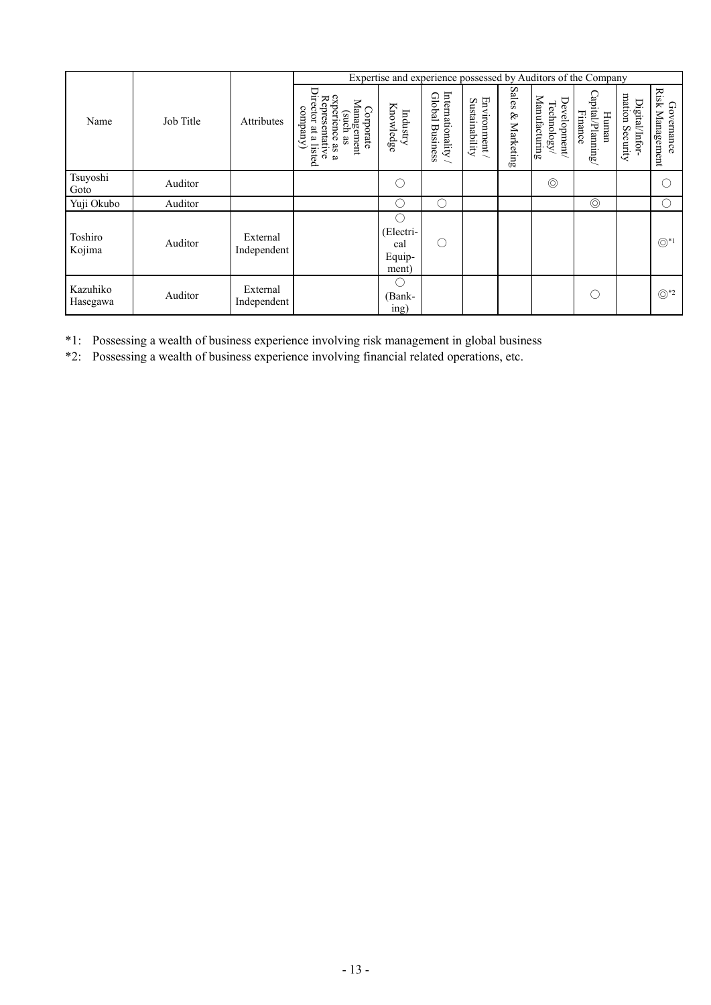|                      |           |                         | Expertise and experience possessed by Auditors of the Company                                                                              |                                           |                                               |                                |                                |                                            |                                      |                                      |                               |
|----------------------|-----------|-------------------------|--------------------------------------------------------------------------------------------------------------------------------------------|-------------------------------------------|-----------------------------------------------|--------------------------------|--------------------------------|--------------------------------------------|--------------------------------------|--------------------------------------|-------------------------------|
| Name                 | Job Title | <b>Attributes</b>       | Director at<br>experience as a<br>Representative<br>Management<br>company<br>Corporate<br>(such<br>88<br>a listed<br>$\boldsymbol{\omega}$ | Knowledge<br>Industry                     | Internationality<br>Global<br><b>Business</b> | Environment/<br>Sustainability | <b>Sales</b><br>$\&$ Marketing | Manufacturing<br>Development<br>Technology | Capital/Plaming/<br>Finance<br>Human | mation<br>Digital/Infor-<br>Security | Risk Management<br>Governance |
| Tsuyoshi<br>Goto     | Auditor   |                         |                                                                                                                                            | С                                         |                                               |                                |                                | $\circledcirc$                             |                                      |                                      | C                             |
| Yuji Okubo           | Auditor   |                         |                                                                                                                                            | . .                                       | $\mathcal{L}$                                 |                                |                                |                                            | $\circledcirc$                       |                                      | O                             |
| Toshiro<br>Kojima    | Auditor   | External<br>Independent |                                                                                                                                            | О.<br>(Electri-<br>cal<br>Equip-<br>ment) | C                                             |                                |                                |                                            |                                      |                                      | $\circledcirc^*$              |
| Kazuhiko<br>Hasegawa | Auditor   | External<br>Independent |                                                                                                                                            | . .<br>(Bank-<br>ing)                     |                                               |                                |                                |                                            | $\mathcal{L}$                        |                                      | $\odot$ *2                    |

\*1: Possessing a wealth of business experience involving risk management in global business

\*2: Possessing a wealth of business experience involving financial related operations, etc.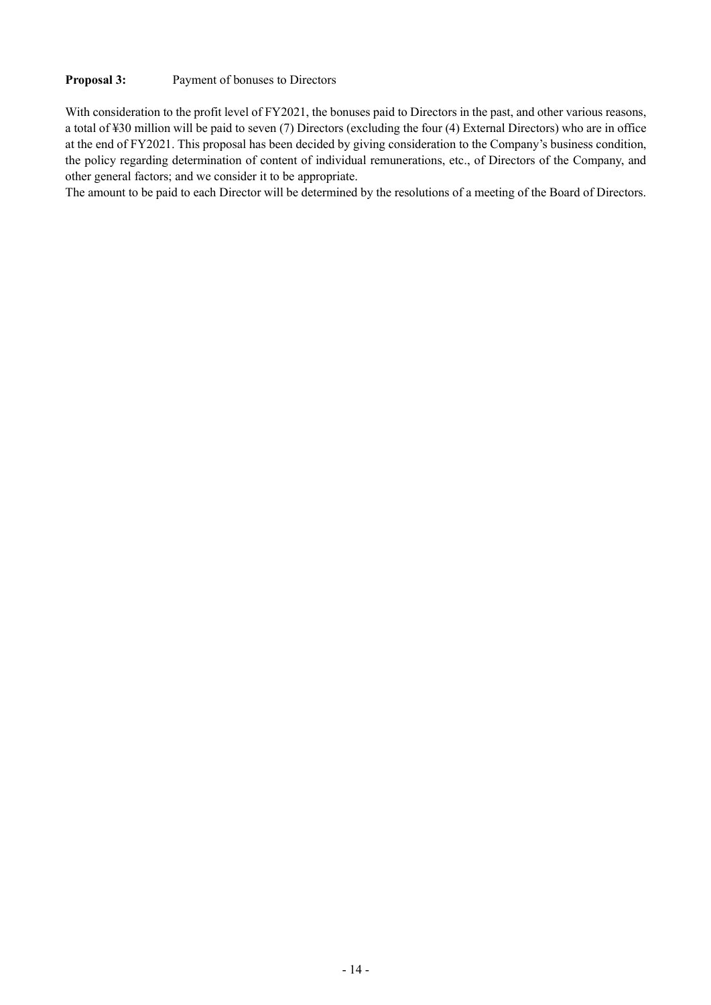## **Proposal 3:** Payment of bonuses to Directors

With consideration to the profit level of FY2021, the bonuses paid to Directors in the past, and other various reasons, a total of ¥30 million will be paid to seven (7) Directors (excluding the four (4) External Directors) who are in office at the end of FY2021. This proposal has been decided by giving consideration to the Company's business condition, the policy regarding determination of content of individual remunerations, etc., of Directors of the Company, and other general factors; and we consider it to be appropriate.

The amount to be paid to each Director will be determined by the resolutions of a meeting of the Board of Directors.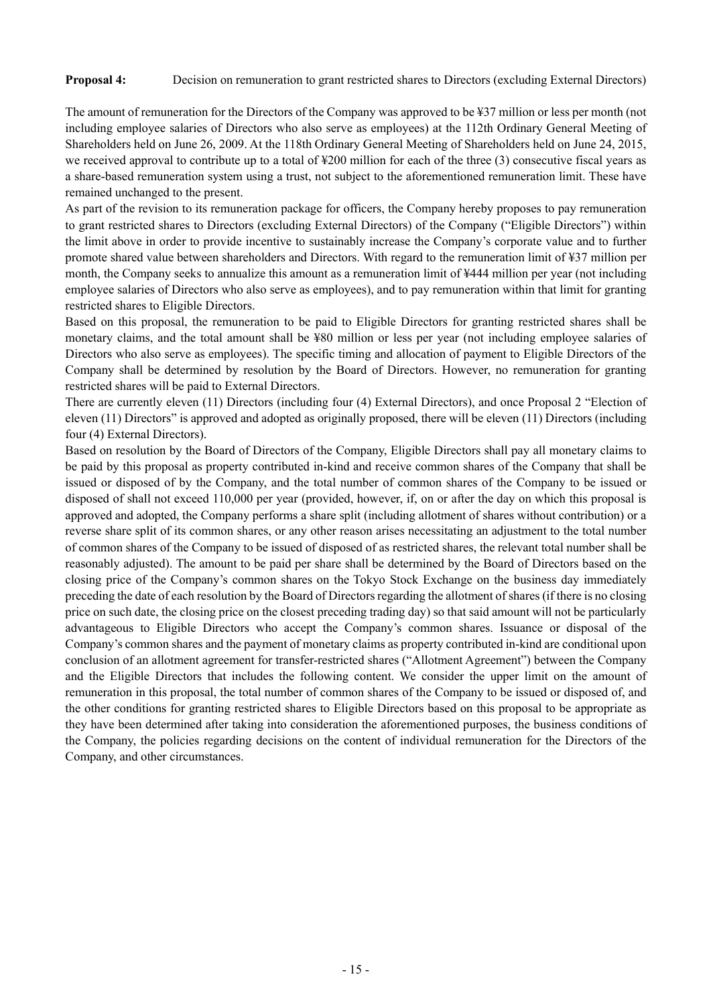### **Proposal 4:** Decision on remuneration to grant restricted shares to Directors (excluding External Directors)

The amount of remuneration for the Directors of the Company was approved to be ¥37 million or less per month (not including employee salaries of Directors who also serve as employees) at the 112th Ordinary General Meeting of Shareholders held on June 26, 2009. At the 118th Ordinary General Meeting of Shareholders held on June 24, 2015, we received approval to contribute up to a total of ¥200 million for each of the three (3) consecutive fiscal years as a share-based remuneration system using a trust, not subject to the aforementioned remuneration limit. These have remained unchanged to the present.

As part of the revision to its remuneration package for officers, the Company hereby proposes to pay remuneration to grant restricted shares to Directors (excluding External Directors) of the Company ("Eligible Directors") within the limit above in order to provide incentive to sustainably increase the Company's corporate value and to further promote shared value between shareholders and Directors. With regard to the remuneration limit of ¥37 million per month, the Company seeks to annualize this amount as a remuneration limit of ¥444 million per year (not including employee salaries of Directors who also serve as employees), and to pay remuneration within that limit for granting restricted shares to Eligible Directors.

Based on this proposal, the remuneration to be paid to Eligible Directors for granting restricted shares shall be monetary claims, and the total amount shall be ¥80 million or less per year (not including employee salaries of Directors who also serve as employees). The specific timing and allocation of payment to Eligible Directors of the Company shall be determined by resolution by the Board of Directors. However, no remuneration for granting restricted shares will be paid to External Directors.

There are currently eleven (11) Directors (including four (4) External Directors), and once Proposal 2 "Election of eleven (11) Directors" is approved and adopted as originally proposed, there will be eleven (11) Directors (including four (4) External Directors).

Based on resolution by the Board of Directors of the Company, Eligible Directors shall pay all monetary claims to be paid by this proposal as property contributed in-kind and receive common shares of the Company that shall be issued or disposed of by the Company, and the total number of common shares of the Company to be issued or disposed of shall not exceed 110,000 per year (provided, however, if, on or after the day on which this proposal is approved and adopted, the Company performs a share split (including allotment of shares without contribution) or a reverse share split of its common shares, or any other reason arises necessitating an adjustment to the total number of common shares of the Company to be issued of disposed of as restricted shares, the relevant total number shall be reasonably adjusted). The amount to be paid per share shall be determined by the Board of Directors based on the closing price of the Company's common shares on the Tokyo Stock Exchange on the business day immediately preceding the date of each resolution by the Board of Directors regarding the allotment of shares (if there is no closing price on such date, the closing price on the closest preceding trading day) so that said amount will not be particularly advantageous to Eligible Directors who accept the Company's common shares. Issuance or disposal of the Company's common shares and the payment of monetary claims as property contributed in-kind are conditional upon conclusion of an allotment agreement for transfer-restricted shares ("Allotment Agreement") between the Company and the Eligible Directors that includes the following content. We consider the upper limit on the amount of remuneration in this proposal, the total number of common shares of the Company to be issued or disposed of, and the other conditions for granting restricted shares to Eligible Directors based on this proposal to be appropriate as they have been determined after taking into consideration the aforementioned purposes, the business conditions of the Company, the policies regarding decisions on the content of individual remuneration for the Directors of the Company, and other circumstances.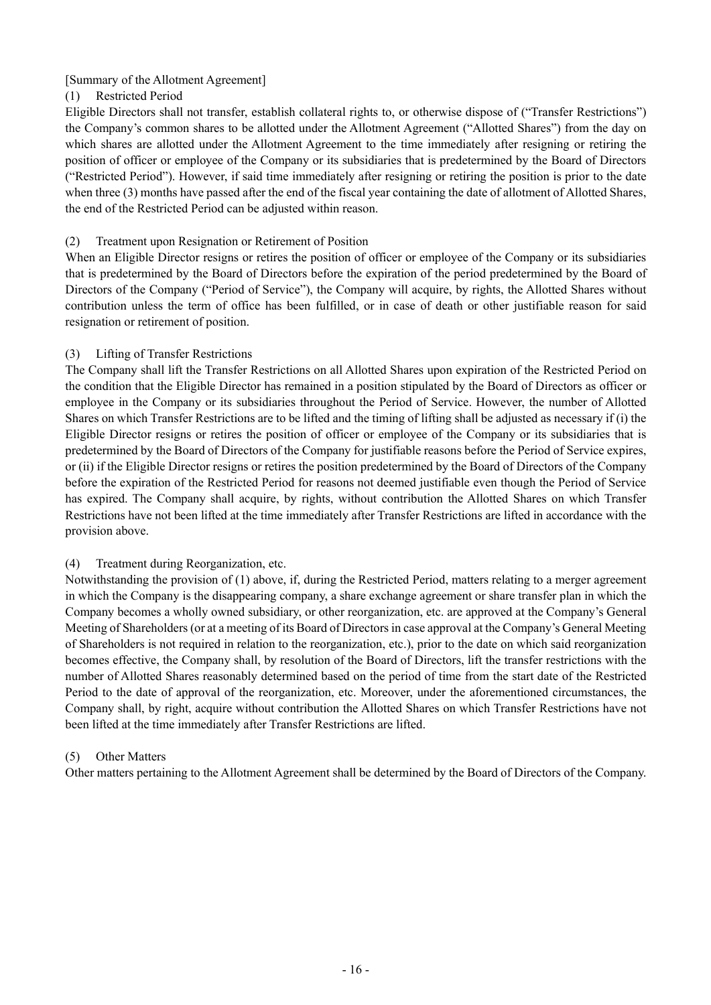## [Summary of the Allotment Agreement]

## (1) Restricted Period

Eligible Directors shall not transfer, establish collateral rights to, or otherwise dispose of ("Transfer Restrictions") the Company's common shares to be allotted under the Allotment Agreement ("Allotted Shares") from the day on which shares are allotted under the Allotment Agreement to the time immediately after resigning or retiring the position of officer or employee of the Company or its subsidiaries that is predetermined by the Board of Directors ("Restricted Period"). However, if said time immediately after resigning or retiring the position is prior to the date when three (3) months have passed after the end of the fiscal year containing the date of allotment of Allotted Shares, the end of the Restricted Period can be adjusted within reason.

## (2) Treatment upon Resignation or Retirement of Position

When an Eligible Director resigns or retires the position of officer or employee of the Company or its subsidiaries that is predetermined by the Board of Directors before the expiration of the period predetermined by the Board of Directors of the Company ("Period of Service"), the Company will acquire, by rights, the Allotted Shares without contribution unless the term of office has been fulfilled, or in case of death or other justifiable reason for said resignation or retirement of position.

## (3) Lifting of Transfer Restrictions

The Company shall lift the Transfer Restrictions on all Allotted Shares upon expiration of the Restricted Period on the condition that the Eligible Director has remained in a position stipulated by the Board of Directors as officer or employee in the Company or its subsidiaries throughout the Period of Service. However, the number of Allotted Shares on which Transfer Restrictions are to be lifted and the timing of lifting shall be adjusted as necessary if (i) the Eligible Director resigns or retires the position of officer or employee of the Company or its subsidiaries that is predetermined by the Board of Directors of the Company for justifiable reasons before the Period of Service expires, or (ii) if the Eligible Director resigns or retires the position predetermined by the Board of Directors of the Company before the expiration of the Restricted Period for reasons not deemed justifiable even though the Period of Service has expired. The Company shall acquire, by rights, without contribution the Allotted Shares on which Transfer Restrictions have not been lifted at the time immediately after Transfer Restrictions are lifted in accordance with the provision above.

## (4) Treatment during Reorganization, etc.

Notwithstanding the provision of (1) above, if, during the Restricted Period, matters relating to a merger agreement in which the Company is the disappearing company, a share exchange agreement or share transfer plan in which the Company becomes a wholly owned subsidiary, or other reorganization, etc. are approved at the Company's General Meeting of Shareholders (or at a meeting of its Board of Directors in case approval at the Company's General Meeting of Shareholders is not required in relation to the reorganization, etc.), prior to the date on which said reorganization becomes effective, the Company shall, by resolution of the Board of Directors, lift the transfer restrictions with the number of Allotted Shares reasonably determined based on the period of time from the start date of the Restricted Period to the date of approval of the reorganization, etc. Moreover, under the aforementioned circumstances, the Company shall, by right, acquire without contribution the Allotted Shares on which Transfer Restrictions have not been lifted at the time immediately after Transfer Restrictions are lifted.

## (5) Other Matters

Other matters pertaining to the Allotment Agreement shall be determined by the Board of Directors of the Company.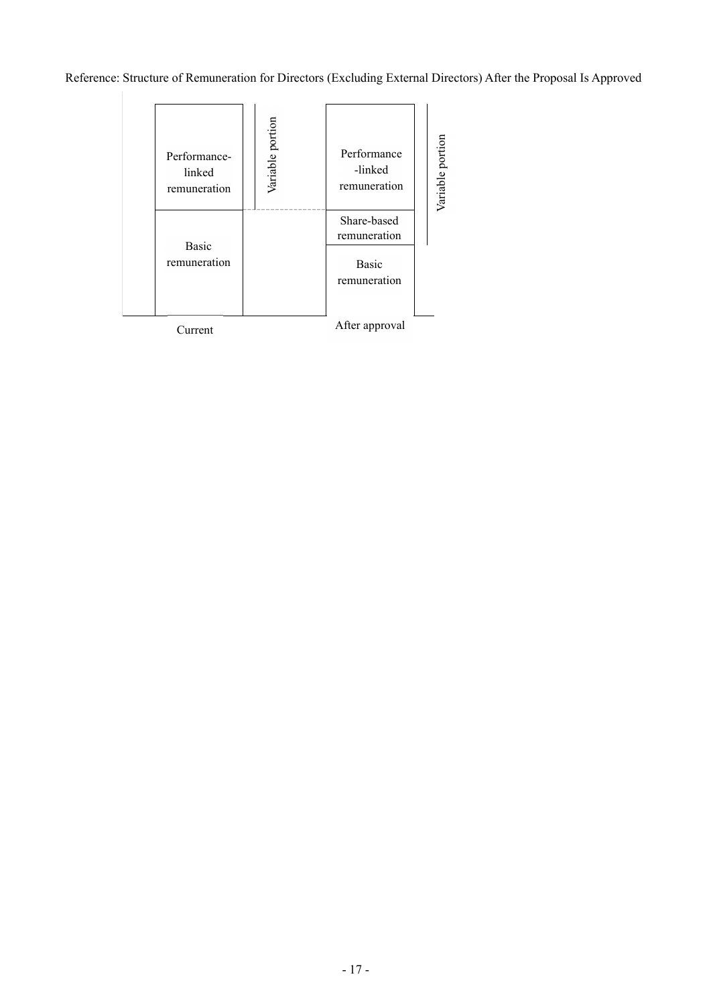Reference: Structure of Remuneration for Directors (Excluding External Directors) After the Proposal Is Approved

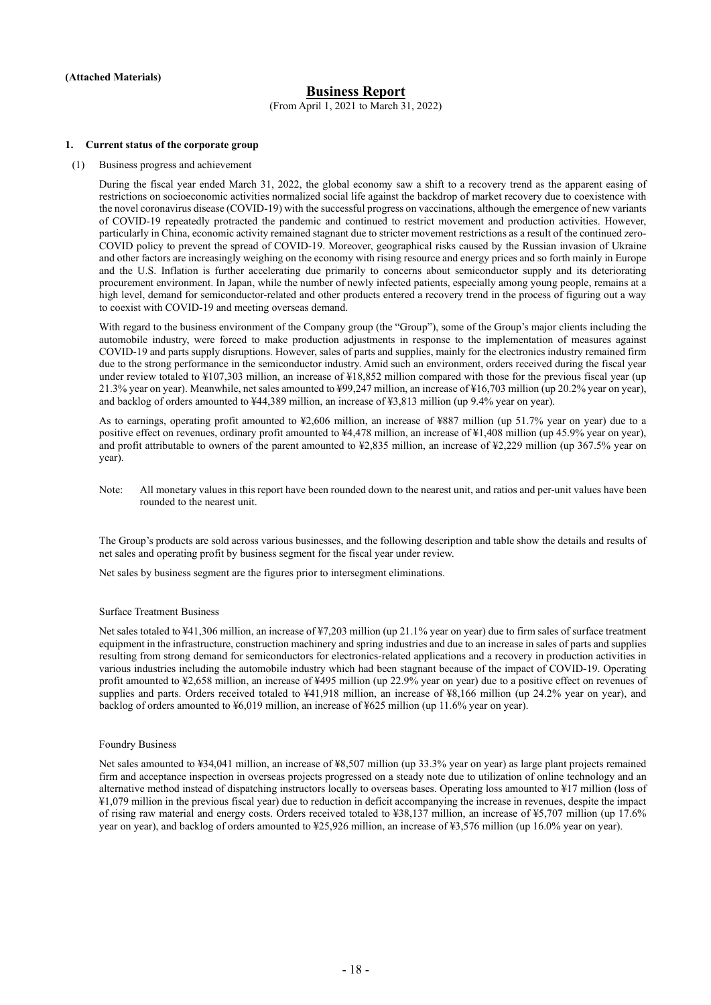### **Business Report**

(From April 1, 2021 to March 31, 2022)

#### **1. Current status of the corporate group**

(1) Business progress and achievement

During the fiscal year ended March 31, 2022, the global economy saw a shift to a recovery trend as the apparent easing of restrictions on socioeconomic activities normalized social life against the backdrop of market recovery due to coexistence with the novel coronavirus disease (COVID-19) with the successful progress on vaccinations, although the emergence of new variants of COVID-19 repeatedly protracted the pandemic and continued to restrict movement and production activities. However, particularly in China, economic activity remained stagnant due to stricter movement restrictions as a result of the continued zero-COVID policy to prevent the spread of COVID-19. Moreover, geographical risks caused by the Russian invasion of Ukraine and other factors are increasingly weighing on the economy with rising resource and energy prices and so forth mainly in Europe and the U.S. Inflation is further accelerating due primarily to concerns about semiconductor supply and its deteriorating procurement environment. In Japan, while the number of newly infected patients, especially among young people, remains at a high level, demand for semiconductor-related and other products entered a recovery trend in the process of figuring out a way to coexist with COVID-19 and meeting overseas demand.

With regard to the business environment of the Company group (the "Group"), some of the Group's major clients including the automobile industry, were forced to make production adjustments in response to the implementation of measures against COVID-19 and parts supply disruptions. However, sales of parts and supplies, mainly for the electronics industry remained firm due to the strong performance in the semiconductor industry. Amid such an environment, orders received during the fiscal year under review totaled to ¥107,303 million, an increase of ¥18,852 million compared with those for the previous fiscal year (up 21.3% year on year). Meanwhile, net sales amounted to ¥99,247 million, an increase of ¥16,703 million (up 20.2% year on year), and backlog of orders amounted to ¥44,389 million, an increase of ¥3,813 million (up 9.4% year on year).

As to earnings, operating profit amounted to ¥2,606 million, an increase of ¥887 million (up 51.7% year on year) due to a positive effect on revenues, ordinary profit amounted to ¥4,478 million, an increase of ¥1,408 million (up 45.9% year on year), and profit attributable to owners of the parent amounted to ¥2,835 million, an increase of ¥2,229 million (up 367.5% year on year).

Note: All monetary values in this report have been rounded down to the nearest unit, and ratios and per-unit values have been rounded to the nearest unit.

The Group's products are sold across various businesses, and the following description and table show the details and results of net sales and operating profit by business segment for the fiscal year under review.

Net sales by business segment are the figures prior to intersegment eliminations.

#### Surface Treatment Business

Net sales totaled to ¥41,306 million, an increase of ¥7,203 million (up 21.1% year on year) due to firm sales of surface treatment equipment in the infrastructure, construction machinery and spring industries and due to an increase in sales of parts and supplies resulting from strong demand for semiconductors for electronics-related applications and a recovery in production activities in various industries including the automobile industry which had been stagnant because of the impact of COVID-19. Operating profit amounted to ¥2,658 million, an increase of ¥495 million (up 22.9% year on year) due to a positive effect on revenues of supplies and parts. Orders received totaled to ¥41,918 million, an increase of ¥8,166 million (up 24.2% year on year), and backlog of orders amounted to ¥6,019 million, an increase of ¥625 million (up 11.6% year on year).

#### Foundry Business

Net sales amounted to ¥34,041 million, an increase of ¥8,507 million (up 33.3% year on year) as large plant projects remained firm and acceptance inspection in overseas projects progressed on a steady note due to utilization of online technology and an alternative method instead of dispatching instructors locally to overseas bases. Operating loss amounted to ¥17 million (loss of ¥1,079 million in the previous fiscal year) due to reduction in deficit accompanying the increase in revenues, despite the impact of rising raw material and energy costs. Orders received totaled to ¥38,137 million, an increase of ¥5,707 million (up 17.6% year on year), and backlog of orders amounted to ¥25,926 million, an increase of ¥3,576 million (up 16.0% year on year).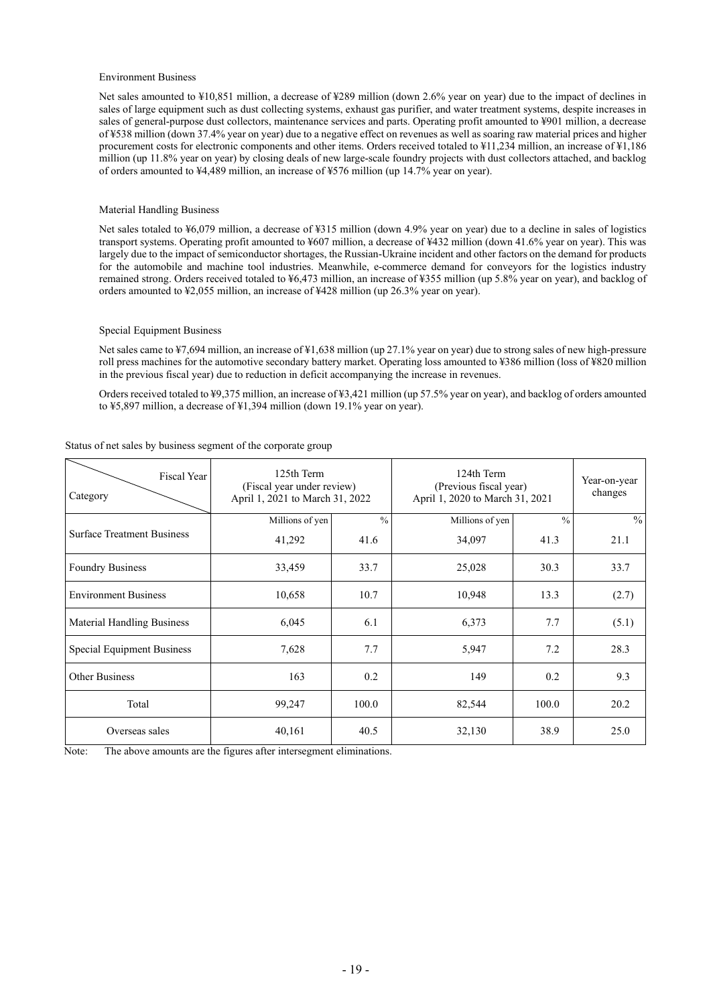#### Environment Business

Net sales amounted to ¥10,851 million, a decrease of ¥289 million (down 2.6% year on year) due to the impact of declines in sales of large equipment such as dust collecting systems, exhaust gas purifier, and water treatment systems, despite increases in sales of general-purpose dust collectors, maintenance services and parts. Operating profit amounted to ¥901 million, a decrease of ¥538 million (down 37.4% year on year) due to a negative effect on revenues as well as soaring raw material prices and higher procurement costs for electronic components and other items. Orders received totaled to ¥11,234 million, an increase of ¥1,186 million (up 11.8% year on year) by closing deals of new large-scale foundry projects with dust collectors attached, and backlog of orders amounted to ¥4,489 million, an increase of ¥576 million (up 14.7% year on year).

#### Material Handling Business

Net sales totaled to ¥6,079 million, a decrease of ¥315 million (down 4.9% year on year) due to a decline in sales of logistics transport systems. Operating profit amounted to ¥607 million, a decrease of ¥432 million (down 41.6% year on year). This was largely due to the impact of semiconductor shortages, the Russian-Ukraine incident and other factors on the demand for products for the automobile and machine tool industries. Meanwhile, e-commerce demand for conveyors for the logistics industry remained strong. Orders received totaled to ¥6,473 million, an increase of ¥355 million (up 5.8% year on year), and backlog of orders amounted to ¥2,055 million, an increase of ¥428 million (up 26.3% year on year).

#### Special Equipment Business

Net sales came to ¥7,694 million, an increase of ¥1,638 million (up 27.1% year on year) due to strong sales of new high-pressure roll press machines for the automotive secondary battery market. Operating loss amounted to ¥386 million (loss of ¥820 million in the previous fiscal year) due to reduction in deficit accompanying the increase in revenues.

Orders received totaled to ¥9,375 million, an increase of ¥3,421 million (up 57.5% year on year), and backlog of orders amounted to ¥5,897 million, a decrease of ¥1,394 million (down 19.1% year on year).

| Fiscal Year<br>Category           | 125th Term<br>(Fiscal year under review)<br>April 1, 2021 to March 31, 2022 |               | 124th Term<br>(Previous fiscal year)<br>April 1, 2020 to March 31, 2021 | Year-on-year<br>changes |               |
|-----------------------------------|-----------------------------------------------------------------------------|---------------|-------------------------------------------------------------------------|-------------------------|---------------|
|                                   | Millions of yen                                                             | $\frac{0}{0}$ | Millions of yen                                                         | $\frac{0}{0}$           | $\frac{0}{0}$ |
| <b>Surface Treatment Business</b> | 41,292                                                                      | 41.6          | 34,097                                                                  | 41.3                    | 21.1          |
| <b>Foundry Business</b>           | 33,459                                                                      | 33.7          | 25,028                                                                  | 30.3                    | 33.7          |
| <b>Environment Business</b>       | 10,658                                                                      | 10.7          | 10,948                                                                  | 13.3                    | (2.7)         |
| <b>Material Handling Business</b> | 6,045                                                                       | 6.1           | 6,373                                                                   | 7.7                     | (5.1)         |
| Special Equipment Business        | 7,628                                                                       | 7.7           | 5,947                                                                   | 7.2                     | 28.3          |
| <b>Other Business</b>             | 163                                                                         | 0.2           | 149                                                                     | 0.2                     | 9.3           |
| Total                             | 99,247                                                                      | 100.0         | 82,544                                                                  | 100.0                   | 20.2          |
| Overseas sales                    | 40,161                                                                      | 40.5          | 32,130                                                                  | 38.9                    | 25.0          |

#### Status of net sales by business segment of the corporate group

Note: The above amounts are the figures after intersegment eliminations.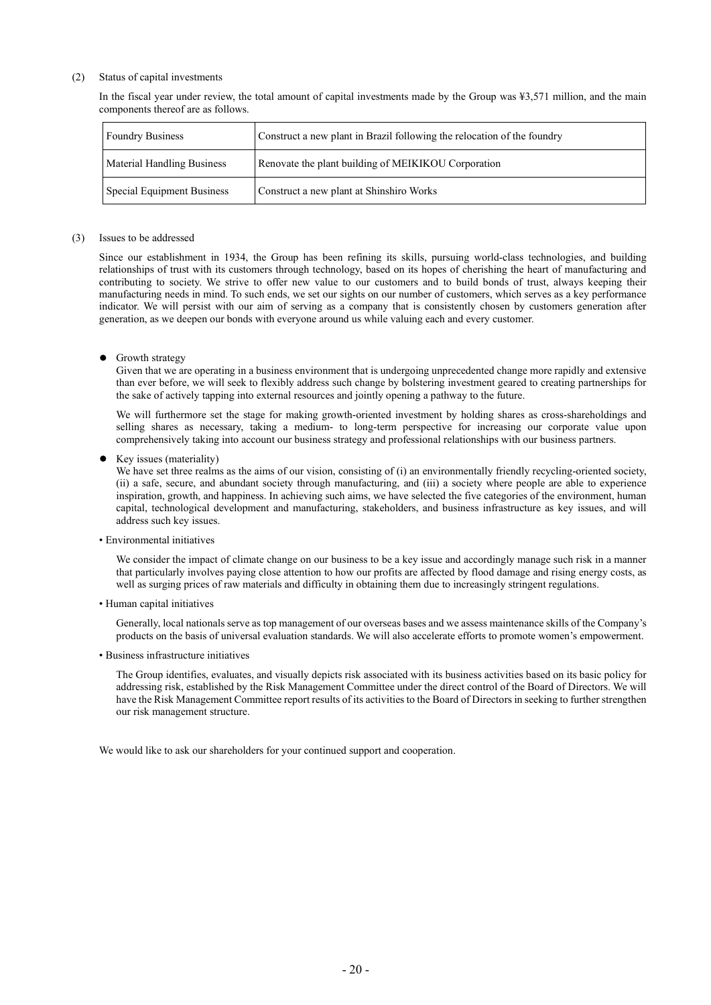#### (2) Status of capital investments

In the fiscal year under review, the total amount of capital investments made by the Group was ¥3,571 million, and the main components thereof are as follows.

| <b>Foundry Business</b>           | Construct a new plant in Brazil following the relocation of the foundry |  |
|-----------------------------------|-------------------------------------------------------------------------|--|
| <b>Material Handling Business</b> | Renovate the plant building of MEIKIKOU Corporation                     |  |
| Special Equipment Business        | Construct a new plant at Shinshiro Works                                |  |

#### (3) Issues to be addressed

Since our establishment in 1934, the Group has been refining its skills, pursuing world-class technologies, and building relationships of trust with its customers through technology, based on its hopes of cherishing the heart of manufacturing and contributing to society. We strive to offer new value to our customers and to build bonds of trust, always keeping their manufacturing needs in mind. To such ends, we set our sights on our number of customers, which serves as a key performance indicator. We will persist with our aim of serving as a company that is consistently chosen by customers generation after generation, as we deepen our bonds with everyone around us while valuing each and every customer.

**•** Growth strategy

Given that we are operating in a business environment that is undergoing unprecedented change more rapidly and extensive than ever before, we will seek to flexibly address such change by bolstering investment geared to creating partnerships for the sake of actively tapping into external resources and jointly opening a pathway to the future.

We will furthermore set the stage for making growth-oriented investment by holding shares as cross-shareholdings and selling shares as necessary, taking a medium- to long-term perspective for increasing our corporate value upon comprehensively taking into account our business strategy and professional relationships with our business partners.

Key issues (materiality)

We have set three realms as the aims of our vision, consisting of (i) an environmentally friendly recycling-oriented society, (ii) a safe, secure, and abundant society through manufacturing, and (iii) a society where people are able to experience inspiration, growth, and happiness. In achieving such aims, we have selected the five categories of the environment, human capital, technological development and manufacturing, stakeholders, and business infrastructure as key issues, and will address such key issues.

• Environmental initiatives

We consider the impact of climate change on our business to be a key issue and accordingly manage such risk in a manner that particularly involves paying close attention to how our profits are affected by flood damage and rising energy costs, as well as surging prices of raw materials and difficulty in obtaining them due to increasingly stringent regulations.

• Human capital initiatives

Generally, local nationals serve as top management of our overseas bases and we assess maintenance skills of the Company's products on the basis of universal evaluation standards. We will also accelerate efforts to promote women's empowerment.

• Business infrastructure initiatives

The Group identifies, evaluates, and visually depicts risk associated with its business activities based on its basic policy for addressing risk, established by the Risk Management Committee under the direct control of the Board of Directors. We will have the Risk Management Committee report results of its activities to the Board of Directors in seeking to further strengthen our risk management structure.

We would like to ask our shareholders for your continued support and cooperation.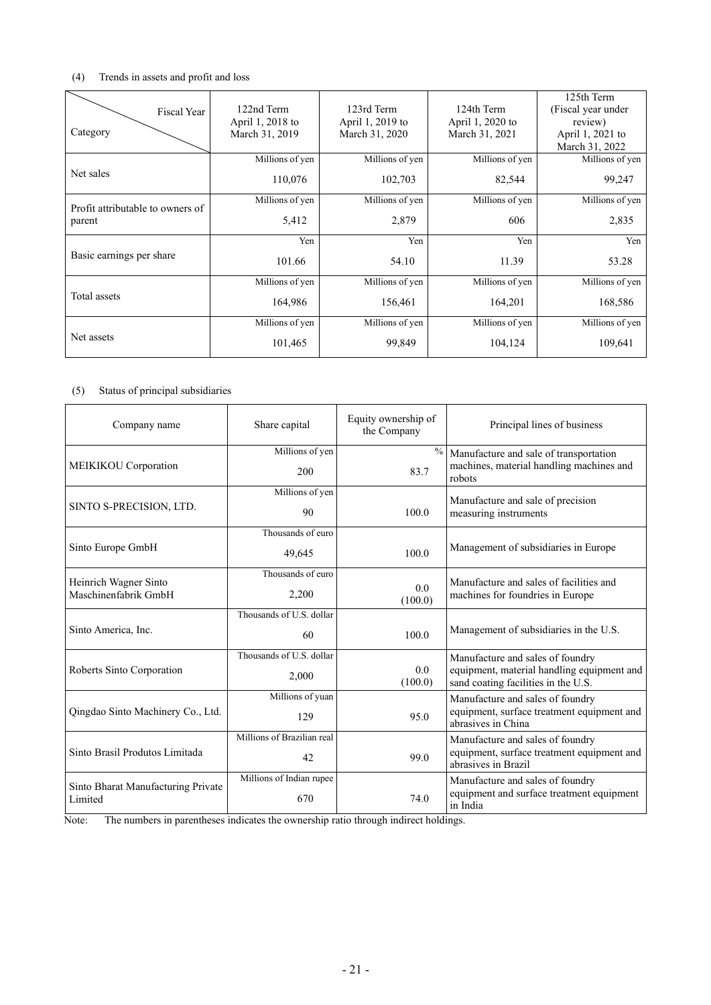## (4) Trends in assets and profit and loss

| Fiscal Year<br>Category          | 122nd Term<br>April 1, 2018 to<br>March 31, 2019 | 123rd Term<br>April 1, 2019 to<br>March 31, 2020 | 124th Term<br>April 1, 2020 to<br>March 31, 2021 | 125th Term<br>(Fiscal year under<br>review)<br>April 1, 2021 to<br>March 31, 2022 |
|----------------------------------|--------------------------------------------------|--------------------------------------------------|--------------------------------------------------|-----------------------------------------------------------------------------------|
| Net sales                        | Millions of yen                                  | Millions of yen                                  | Millions of yen                                  | Millions of yen                                                                   |
|                                  | 110,076                                          | 102,703                                          | 82,544                                           | 99,247                                                                            |
| Profit attributable to owners of | Millions of yen                                  | Millions of yen                                  | Millions of yen                                  | Millions of yen                                                                   |
| parent                           | 5,412                                            | 2,879                                            | 606                                              | 2,835                                                                             |
|                                  | Yen                                              | Yen                                              | Yen                                              | Yen                                                                               |
| Basic earnings per share         | 101.66                                           | 54.10                                            | 11.39                                            | 53.28                                                                             |
|                                  | Millions of yen                                  | Millions of yen                                  | Millions of yen                                  | Millions of yen                                                                   |
| Total assets                     | 164,986                                          | 156,461                                          | 164,201                                          | 168,586                                                                           |
|                                  | Millions of yen                                  | Millions of yen                                  | Millions of yen                                  | Millions of yen                                                                   |
| Net assets                       | 101,465                                          | 99,849                                           | 104,124                                          | 109,641                                                                           |

# (5) Status of principal subsidiaries

| Company name                       | Share capital              | Equity ownership of<br>the Company | Principal lines of business                                                       |
|------------------------------------|----------------------------|------------------------------------|-----------------------------------------------------------------------------------|
|                                    | Millions of yen            | $\%$                               | Manufacture and sale of transportation                                            |
| MEIKIKOU Corporation               | 200                        | 83.7                               | machines, material handling machines and<br>robots                                |
|                                    | Millions of yen            |                                    | Manufacture and sale of precision                                                 |
| SINTO S-PRECISION, LTD.            | 90                         | 100.0                              | measuring instruments                                                             |
|                                    | Thousands of euro          |                                    |                                                                                   |
| Sinto Europe GmbH                  | 49,645                     | 100.0                              | Management of subsidiaries in Europe                                              |
| Heinrich Wagner Sinto              | Thousands of euro          |                                    | Manufacture and sales of facilities and                                           |
| Maschinenfabrik GmbH               | 0.0<br>2,200<br>(100.0)    |                                    | machines for foundries in Europe                                                  |
|                                    | Thousands of U.S. dollar   |                                    |                                                                                   |
| Sinto America, Inc.                | 60                         | 100.0                              | Management of subsidiaries in the U.S.                                            |
|                                    | Thousands of U.S. dollar   |                                    | Manufacture and sales of foundry                                                  |
| Roberts Sinto Corporation          | 2,000                      | 0.0<br>(100.0)                     | equipment, material handling equipment and<br>sand coating facilities in the U.S. |
|                                    | Millions of yuan           |                                    | Manufacture and sales of foundry                                                  |
| Qingdao Sinto Machinery Co., Ltd.  | 129                        | 95.0                               | equipment, surface treatment equipment and<br>abrasives in China                  |
|                                    | Millions of Brazilian real |                                    | Manufacture and sales of foundry                                                  |
| Sinto Brasil Produtos Limitada     | 42                         | 99.0                               | equipment, surface treatment equipment and<br>abrasives in Brazil                 |
| Sinto Bharat Manufacturing Private | Millions of Indian rupee   |                                    | Manufacture and sales of foundry                                                  |
| Limited                            | 670                        | 74.0                               | equipment and surface treatment equipment<br>in India                             |

Note: The numbers in parentheses indicates the ownership ratio through indirect holdings.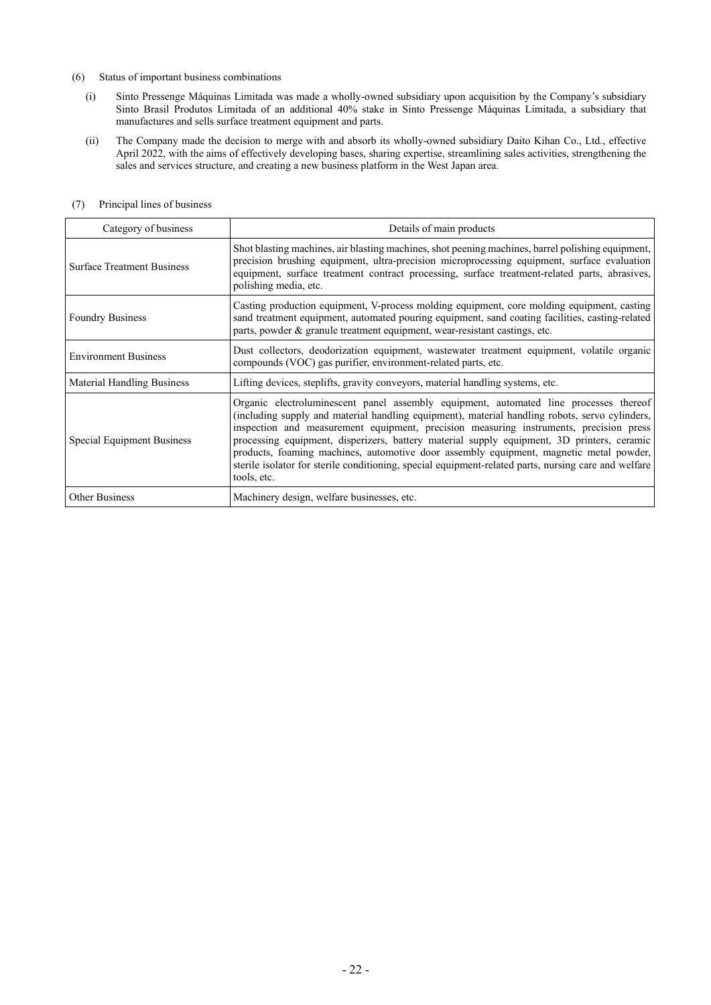#### (6) Status of important business combinations

- (i) Sinto Pressenge Máquinas Limitada was made a wholly-owned subsidiary upon acquisition by the Company's subsidiary Sinto Brasil Produtos Limitada of an additional 40% stake in Sinto Pressenge Máquinas Limitada, a subsidiary that manufactures and sells surface treatment equipment and parts.
- (ii) The Company made the decision to merge with and absorb its wholly-owned subsidiary Daito Kihan Co., Ltd., effective April 2022, with the aims of effectively developing bases, sharing expertise, streamlining sales activities, strengthening the sales and services structure, and creating a new business platform in the West Japan area.

| Category of business              | Details of main products                                                                                                                                                                                                                                                                                                                                                                                                                                                                                                                                                                         |  |  |
|-----------------------------------|--------------------------------------------------------------------------------------------------------------------------------------------------------------------------------------------------------------------------------------------------------------------------------------------------------------------------------------------------------------------------------------------------------------------------------------------------------------------------------------------------------------------------------------------------------------------------------------------------|--|--|
| <b>Surface Treatment Business</b> | Shot blasting machines, air blasting machines, shot peening machines, barrel polishing equipment,<br>precision brushing equipment, ultra-precision microprocessing equipment, surface evaluation<br>equipment, surface treatment contract processing, surface treatment-related parts, abrasives,<br>polishing media, etc.                                                                                                                                                                                                                                                                       |  |  |
| <b>Foundry Business</b>           | Casting production equipment, V-process molding equipment, core molding equipment, casting<br>sand treatment equipment, automated pouring equipment, sand coating facilities, casting-related<br>parts, powder & granule treatment equipment, wear-resistant castings, etc.                                                                                                                                                                                                                                                                                                                      |  |  |
| <b>Environment Business</b>       | Dust collectors, deodorization equipment, wastewater treatment equipment, volatile organic<br>compounds (VOC) gas purifier, environment-related parts, etc.                                                                                                                                                                                                                                                                                                                                                                                                                                      |  |  |
| <b>Material Handling Business</b> | Lifting devices, steplifts, gravity conveyors, material handling systems, etc.                                                                                                                                                                                                                                                                                                                                                                                                                                                                                                                   |  |  |
| <b>Special Equipment Business</b> | Organic electroluminescent panel assembly equipment, automated line processes thereof<br>(including supply and material handling equipment), material handling robots, servo cylinders,<br>inspection and measurement equipment, precision measuring instruments, precision press<br>processing equipment, disperizers, battery material supply equipment, 3D printers, ceramic<br>products, foaming machines, automotive door assembly equipment, magnetic metal powder,<br>sterile isolator for sterile conditioning, special equipment-related parts, nursing care and welfare<br>tools, etc. |  |  |
| <b>Other Business</b>             | Machinery design, welfare businesses, etc.                                                                                                                                                                                                                                                                                                                                                                                                                                                                                                                                                       |  |  |

## (7) Principal lines of business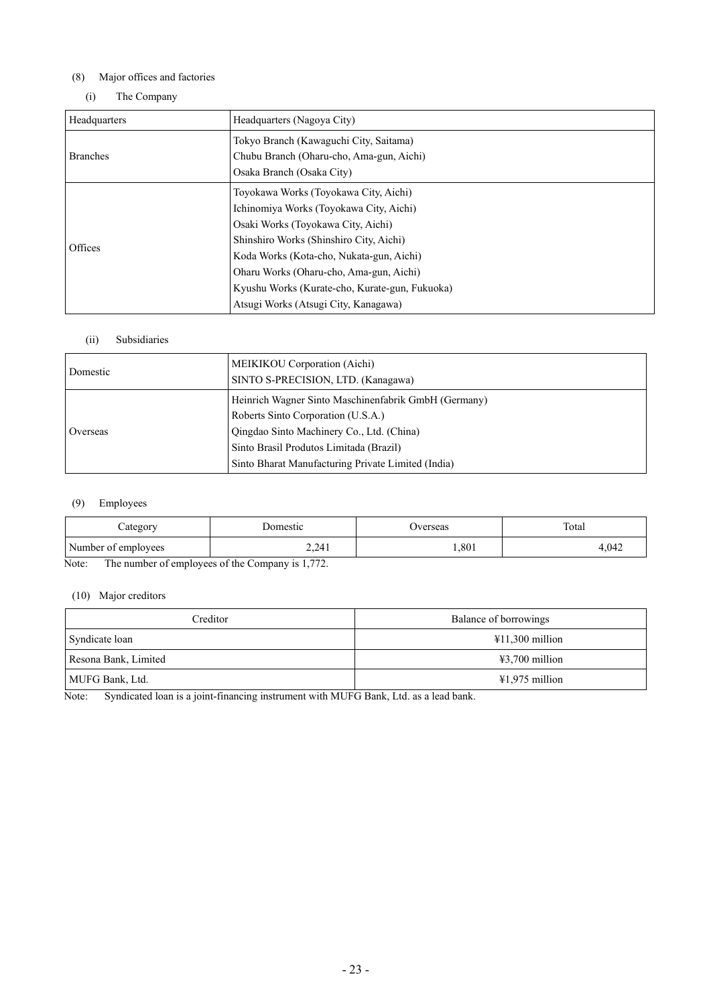## (8) Major offices and factories

## (i) The Company

| Headquarters (Nagoya City)                                                                                                                                                                                                                                                                                                                         |  |
|----------------------------------------------------------------------------------------------------------------------------------------------------------------------------------------------------------------------------------------------------------------------------------------------------------------------------------------------------|--|
| Tokyo Branch (Kawaguchi City, Saitama)<br>Chubu Branch (Oharu-cho, Ama-gun, Aichi)<br>Osaka Branch (Osaka City)                                                                                                                                                                                                                                    |  |
| Toyokawa Works (Toyokawa City, Aichi)<br>Ichinomiya Works (Toyokawa City, Aichi)<br>Osaki Works (Toyokawa City, Aichi)<br>Shinshiro Works (Shinshiro City, Aichi)<br>Koda Works (Kota-cho, Nukata-gun, Aichi)<br>Oharu Works (Oharu-cho, Ama-gun, Aichi)<br>Kyushu Works (Kurate-cho, Kurate-gun, Fukuoka)<br>Atsugi Works (Atsugi City, Kanagawa) |  |
|                                                                                                                                                                                                                                                                                                                                                    |  |

## (ii) Subsidiaries

| Domestic | MEIKIKOU Corporation (Aichi)<br>SINTO S-PRECISION, LTD. (Kanagawa)                                                                                                                 |  |
|----------|------------------------------------------------------------------------------------------------------------------------------------------------------------------------------------|--|
| Overseas | Heinrich Wagner Sinto Maschinenfabrik GmbH (Germany)<br>Roberts Sinto Corporation (U.S.A.)<br>Qingdao Sinto Machinery Co., Ltd. (China)<br>Sinto Brasil Produtos Limitada (Brazil) |  |
|          | Sinto Bharat Manufacturing Private Limited (India)                                                                                                                                 |  |

## (9) Employees

| Category            | Jomestic | <b>J</b> verseas | Total |
|---------------------|----------|------------------|-------|
| Number of employees | 2,241    | ,801             | 4.042 |

Note: The number of employees of the Company is 1,772.

## (10) Major creditors

| Creditor             | Balance of borrowings     |
|----------------------|---------------------------|
| Syndicate loan       | $\text{\#}11,300$ million |
| Resona Bank, Limited | $\text{\#3,700}$ million  |
| MUFG Bank, Ltd.      | $\text{\#}1,975$ million  |

Note: Syndicated loan is a joint-financing instrument with MUFG Bank, Ltd. as a lead bank.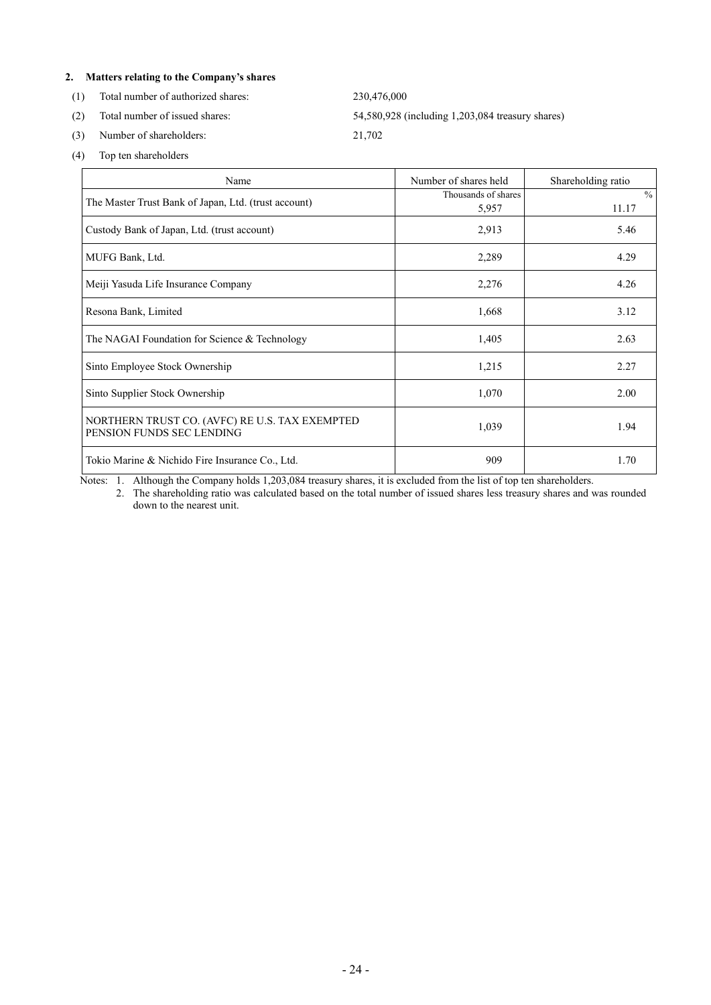## **2. Matters relating to the Company's shares**

(1) Total number of authorized shares: 230,476,000

(3) Number of shareholders: 21,702

(2) Total number of issued shares: 54,580,928 (including 1,203,084 treasury shares)

(4) Top ten shareholders

| Name                                                                        | Number of shares held        | Shareholding ratio     |
|-----------------------------------------------------------------------------|------------------------------|------------------------|
| The Master Trust Bank of Japan, Ltd. (trust account)                        | Thousands of shares<br>5,957 | $\frac{0}{0}$<br>11.17 |
| Custody Bank of Japan, Ltd. (trust account)                                 | 2,913                        | 5.46                   |
| MUFG Bank, Ltd.                                                             | 2,289                        | 4.29                   |
| Meiji Yasuda Life Insurance Company                                         | 2,276                        | 4.26                   |
| Resona Bank, Limited                                                        | 1,668                        | 3.12                   |
| The NAGAI Foundation for Science & Technology                               | 1,405                        | 2.63                   |
| Sinto Employee Stock Ownership                                              | 1,215                        | 2.27                   |
| Sinto Supplier Stock Ownership                                              | 1,070                        | 2.00                   |
| NORTHERN TRUST CO. (AVFC) RE U.S. TAX EXEMPTED<br>PENSION FUNDS SEC LENDING | 1,039                        | 1.94                   |
| Tokio Marine & Nichido Fire Insurance Co., Ltd.                             | 909                          | 1.70                   |

Notes: 1. Although the Company holds 1,203,084 treasury shares, it is excluded from the list of top ten shareholders.

2. The shareholding ratio was calculated based on the total number of issued shares less treasury shares and was rounded down to the nearest unit.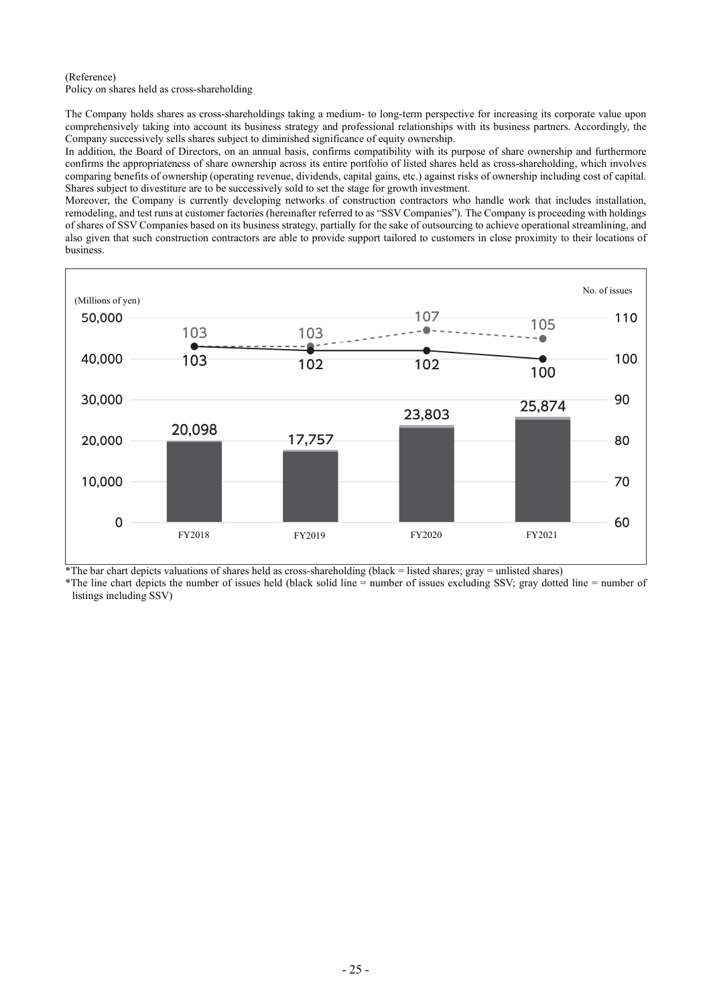#### (Reference)

Policy on shares held as cross-shareholding

The Company holds shares as cross-shareholdings taking a medium- to long-term perspective for increasing its corporate value upon comprehensively taking into account its business strategy and professional relationships with its business partners. Accordingly, the Company successively sells shares subject to diminished significance of equity ownership.

In addition, the Board of Directors, on an annual basis, confirms compatibility with its purpose of share ownership and furthermore confirms the appropriateness of share ownership across its entire portfolio of listed shares held as cross-shareholding, which involves comparing benefits of ownership (operating revenue, dividends, capital gains, etc.) against risks of ownership including cost of capital. Shares subject to divestiture are to be successively sold to set the stage for growth investment.

Moreover, the Company is currently developing networks of construction contractors who handle work that includes installation, remodeling, and test runs at customer factories (hereinafter referred to as "SSV Companies"). The Company is proceeding with holdings of shares of SSV Companies based on its business strategy, partially for the sake of outsourcing to achieve operational streamlining, and also given that such construction contractors are able to provide support tailored to customers in close proximity to their locations of business.



 $*$ The bar chart depicts valuations of shares held as cross-shareholding (black = listed shares; gray = unlisted shares)

\*The line chart depicts the number of issues held (black solid line = number of issues excluding SSV; gray dotted line = number of listings including SSV)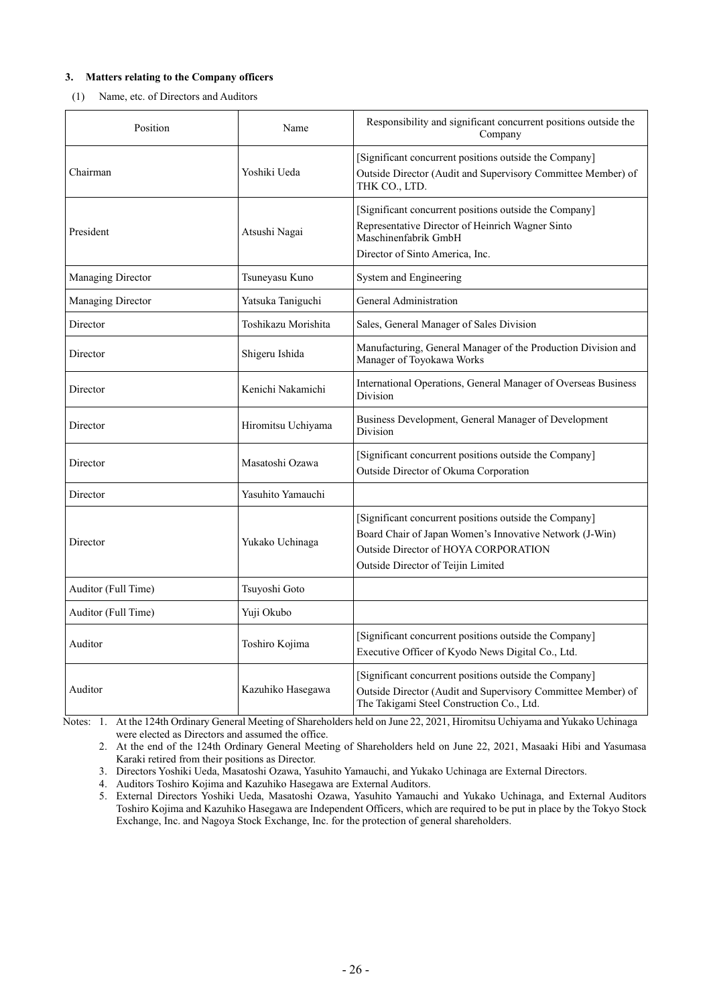### **3. Matters relating to the Company officers**

#### (1) Name, etc. of Directors and Auditors

| Position            | Name                | Responsibility and significant concurrent positions outside the<br>Company                                                                                                                      |  |
|---------------------|---------------------|-------------------------------------------------------------------------------------------------------------------------------------------------------------------------------------------------|--|
| Chairman            | Yoshiki Ueda        | [Significant concurrent positions outside the Company]<br>Outside Director (Audit and Supervisory Committee Member) of<br>THK CO., LTD.                                                         |  |
| President           | Atsushi Nagai       | [Significant concurrent positions outside the Company]<br>Representative Director of Heinrich Wagner Sinto<br>Maschinenfabrik GmbH<br>Director of Sinto America, Inc.                           |  |
| Managing Director   | Tsuneyasu Kuno      | System and Engineering                                                                                                                                                                          |  |
| Managing Director   | Yatsuka Taniguchi   | General Administration                                                                                                                                                                          |  |
| Director            | Toshikazu Morishita | Sales, General Manager of Sales Division                                                                                                                                                        |  |
| Director            | Shigeru Ishida      | Manufacturing, General Manager of the Production Division and<br>Manager of Toyokawa Works                                                                                                      |  |
| Director            | Kenichi Nakamichi   | International Operations, General Manager of Overseas Business<br><b>Division</b>                                                                                                               |  |
| Director            | Hiromitsu Uchiyama  | Business Development, General Manager of Development<br>Division                                                                                                                                |  |
| Director            | Masatoshi Ozawa     | [Significant concurrent positions outside the Company]<br>Outside Director of Okuma Corporation                                                                                                 |  |
| Director            | Yasuhito Yamauchi   |                                                                                                                                                                                                 |  |
| Director            | Yukako Uchinaga     | [Significant concurrent positions outside the Company]<br>Board Chair of Japan Women's Innovative Network (J-Win)<br>Outside Director of HOYA CORPORATION<br>Outside Director of Teijin Limited |  |
| Auditor (Full Time) | Tsuyoshi Goto       |                                                                                                                                                                                                 |  |
| Auditor (Full Time) | Yuji Okubo          |                                                                                                                                                                                                 |  |
| Auditor             | Toshiro Kojima      | [Significant concurrent positions outside the Company]<br>Executive Officer of Kyodo News Digital Co., Ltd.                                                                                     |  |
| Auditor             | Kazuhiko Hasegawa   | [Significant concurrent positions outside the Company]<br>Outside Director (Audit and Supervisory Committee Member) of<br>The Takigami Steel Construction Co., Ltd.                             |  |

Notes: 1. At the 124th Ordinary General Meeting of Shareholders held on June 22, 2021, Hiromitsu Uchiyama and Yukako Uchinaga were elected as Directors and assumed the office.

2. At the end of the 124th Ordinary General Meeting of Shareholders held on June 22, 2021, Masaaki Hibi and Yasumasa Karaki retired from their positions as Director.

3. Directors Yoshiki Ueda, Masatoshi Ozawa, Yasuhito Yamauchi, and Yukako Uchinaga are External Directors.

4. Auditors Toshiro Kojima and Kazuhiko Hasegawa are External Auditors.

5. External Directors Yoshiki Ueda, Masatoshi Ozawa, Yasuhito Yamauchi and Yukako Uchinaga, and External Auditors Toshiro Kojima and Kazuhiko Hasegawa are Independent Officers, which are required to be put in place by the Tokyo Stock Exchange, Inc. and Nagoya Stock Exchange, Inc. for the protection of general shareholders.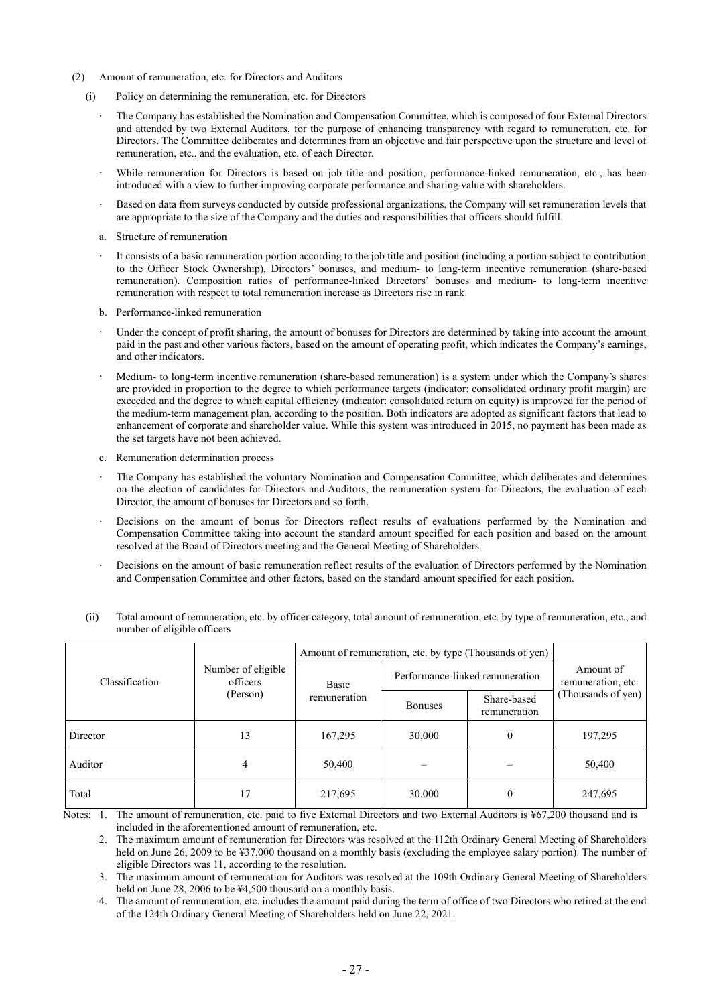- (2) Amount of remuneration, etc. for Directors and Auditors
	- (i) Policy on determining the remuneration, etc. for Directors
		- The Company has established the Nomination and Compensation Committee, which is composed of four External Directors and attended by two External Auditors, for the purpose of enhancing transparency with regard to remuneration, etc. for Directors. The Committee deliberates and determines from an objective and fair perspective upon the structure and level of remuneration, etc., and the evaluation, etc. of each Director.
		- While remuneration for Directors is based on job title and position, performance-linked remuneration, etc., has been introduced with a view to further improving corporate performance and sharing value with shareholders.
		- $\ddot{\phantom{0}}$ Based on data from surveys conducted by outside professional organizations, the Company will set remuneration levels that are appropriate to the size of the Company and the duties and responsibilities that officers should fulfill.
		- a. Structure of remuneration
		- It consists of a basic remuneration portion according to the job title and position (including a portion subject to contribution to the Officer Stock Ownership), Directors' bonuses, and medium- to long-term incentive remuneration (share-based remuneration). Composition ratios of performance-linked Directors' bonuses and medium- to long-term incentive remuneration with respect to total remuneration increase as Directors rise in rank.
		- b. Performance-linked remuneration
		- Under the concept of profit sharing, the amount of bonuses for Directors are determined by taking into account the amount paid in the past and other various factors, based on the amount of operating profit, which indicates the Company's earnings, and other indicators.
		- Medium- to long-term incentive remuneration (share-based remuneration) is a system under which the Company's shares are provided in proportion to the degree to which performance targets (indicator: consolidated ordinary profit margin) are exceeded and the degree to which capital efficiency (indicator: consolidated return on equity) is improved for the period of the medium-term management plan, according to the position. Both indicators are adopted as significant factors that lead to enhancement of corporate and shareholder value. While this system was introduced in 2015, no payment has been made as the set targets have not been achieved.
		- c. Remuneration determination process
		- The Company has established the voluntary Nomination and Compensation Committee, which deliberates and determines on the election of candidates for Directors and Auditors, the remuneration system for Directors, the evaluation of each Director, the amount of bonuses for Directors and so forth.
		- Decisions on the amount of bonus for Directors reflect results of evaluations performed by the Nomination and Compensation Committee taking into account the standard amount specified for each position and based on the amount resolved at the Board of Directors meeting and the General Meeting of Shareholders.
		- $\ddot{\phantom{0}}$ Decisions on the amount of basic remuneration reflect results of the evaluation of Directors performed by the Nomination and Compensation Committee and other factors, based on the standard amount specified for each position.

|                |                                            | Amount of remuneration, etc. by type (Thousands of yen) |                                 |                             |                                 |
|----------------|--------------------------------------------|---------------------------------------------------------|---------------------------------|-----------------------------|---------------------------------|
| Classification | Number of eligible<br>officers<br>(Person) | <b>Basic</b><br>remuneration                            | Performance-linked remuneration |                             | Amount of<br>remuneration, etc. |
|                |                                            |                                                         | <b>Bonuses</b>                  | Share-based<br>remuneration | (Thousands of yen)              |
| Director       | 13                                         | 167,295                                                 | 30,000                          | $\theta$                    | 197,295                         |
| Auditor        | 4                                          | 50,400                                                  |                                 |                             | 50,400                          |
| Total          | 17                                         | 217,695                                                 | 30,000                          | $\theta$                    | 247,695                         |

(ii) Total amount of remuneration, etc. by officer category, total amount of remuneration, etc. by type of remuneration, etc., and number of eligible officers

Notes: 1. The amount of remuneration, etc. paid to five External Directors and two External Auditors is ¥67,200 thousand and is included in the aforementioned amount of remuneration, etc.

2. The maximum amount of remuneration for Directors was resolved at the 112th Ordinary General Meeting of Shareholders held on June 26, 2009 to be ¥37,000 thousand on a monthly basis (excluding the employee salary portion). The number of eligible Directors was 11, according to the resolution.

3. The maximum amount of remuneration for Auditors was resolved at the 109th Ordinary General Meeting of Shareholders held on June 28, 2006 to be ¥4,500 thousand on a monthly basis.

4. The amount of remuneration, etc. includes the amount paid during the term of office of two Directors who retired at the end of the 124th Ordinary General Meeting of Shareholders held on June 22, 2021.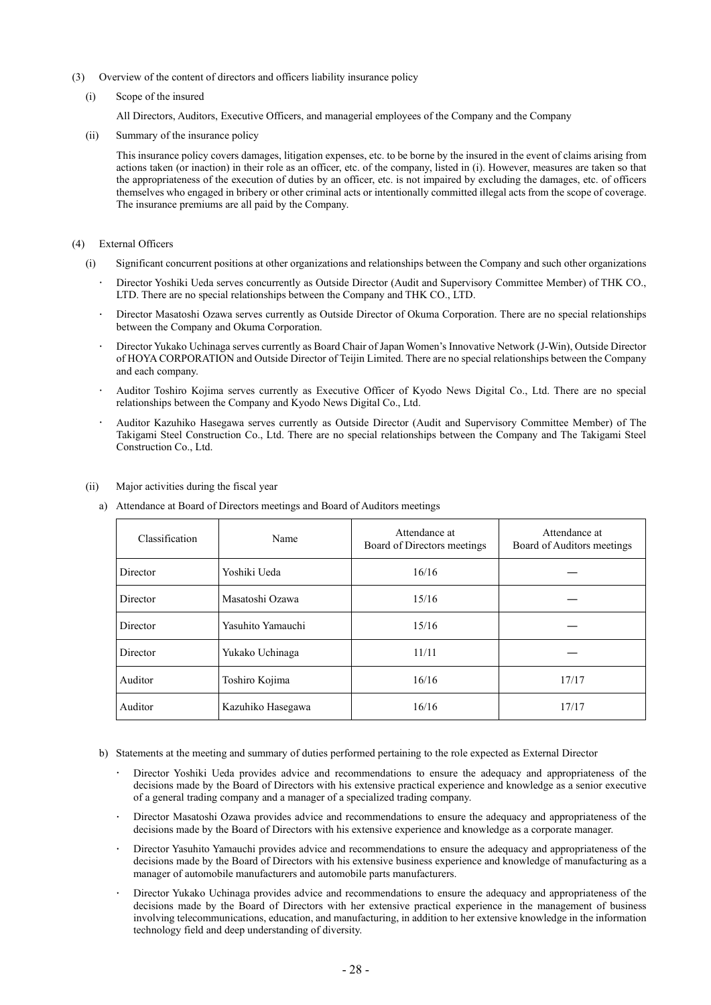- (3) Overview of the content of directors and officers liability insurance policy
	- (i) Scope of the insured

All Directors, Auditors, Executive Officers, and managerial employees of the Company and the Company

(ii) Summary of the insurance policy

This insurance policy covers damages, litigation expenses, etc. to be borne by the insured in the event of claims arising from actions taken (or inaction) in their role as an officer, etc. of the company, listed in (i). However, measures are taken so that the appropriateness of the execution of duties by an officer, etc. is not impaired by excluding the damages, etc. of officers themselves who engaged in bribery or other criminal acts or intentionally committed illegal acts from the scope of coverage. The insurance premiums are all paid by the Company.

- (4) External Officers
	- (i) Significant concurrent positions at other organizations and relationships between the Company and such other organizations
		- Director Yoshiki Ueda serves concurrently as Outside Director (Audit and Supervisory Committee Member) of THK CO., LTD. There are no special relationships between the Company and THK CO., LTD.
		- Director Masatoshi Ozawa serves currently as Outside Director of Okuma Corporation. There are no special relationships between the Company and Okuma Corporation.
		- Director Yukako Uchinaga serves currently as Board Chair of Japan Women's Innovative Network (J-Win), Outside Director of HOYA CORPORATION and Outside Director of Teijin Limited. There are no special relationships between the Company and each company.
		- Auditor Toshiro Kojima serves currently as Executive Officer of Kyodo News Digital Co., Ltd. There are no special relationships between the Company and Kyodo News Digital Co., Ltd.
		- Auditor Kazuhiko Hasegawa serves currently as Outside Director (Audit and Supervisory Committee Member) of The Takigami Steel Construction Co., Ltd. There are no special relationships between the Company and The Takigami Steel Construction Co., Ltd.

| Classification | Name              | Attendance at<br>Board of Directors meetings | Attendance at<br>Board of Auditors meetings |
|----------------|-------------------|----------------------------------------------|---------------------------------------------|
| Director       | Yoshiki Ueda      | 16/16                                        |                                             |
| Director       | Masatoshi Ozawa   | 15/16                                        |                                             |
| Director       | Yasuhito Yamauchi | 15/16                                        |                                             |
| Director       | Yukako Uchinaga   | 11/11                                        |                                             |
| Auditor        | Toshiro Kojima    | 16/16                                        | 17/17                                       |
| Auditor        | Kazuhiko Hasegawa | 16/16                                        | 17/17                                       |

- (ii) Major activities during the fiscal year
	- a) Attendance at Board of Directors meetings and Board of Auditors meetings

- b) Statements at the meeting and summary of duties performed pertaining to the role expected as External Director
	- Director Yoshiki Ueda provides advice and recommendations to ensure the adequacy and appropriateness of the decisions made by the Board of Directors with his extensive practical experience and knowledge as a senior executive of a general trading company and a manager of a specialized trading company.
	- Director Masatoshi Ozawa provides advice and recommendations to ensure the adequacy and appropriateness of the decisions made by the Board of Directors with his extensive experience and knowledge as a corporate manager.
	- Director Yasuhito Yamauchi provides advice and recommendations to ensure the adequacy and appropriateness of the decisions made by the Board of Directors with his extensive business experience and knowledge of manufacturing as a manager of automobile manufacturers and automobile parts manufacturers.
	- Director Yukako Uchinaga provides advice and recommendations to ensure the adequacy and appropriateness of the decisions made by the Board of Directors with her extensive practical experience in the management of business involving telecommunications, education, and manufacturing, in addition to her extensive knowledge in the information technology field and deep understanding of diversity.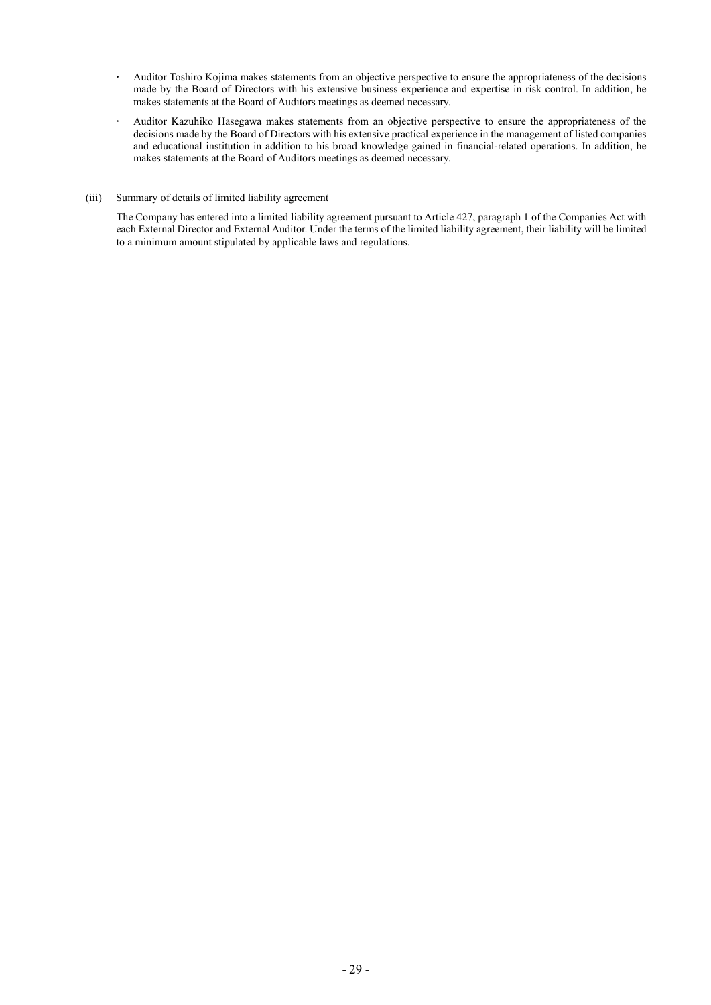- Auditor Toshiro Kojima makes statements from an objective perspective to ensure the appropriateness of the decisions  $\ddot{\phantom{0}}$ made by the Board of Directors with his extensive business experience and expertise in risk control. In addition, he makes statements at the Board of Auditors meetings as deemed necessary.
- Auditor Kazuhiko Hasegawa makes statements from an objective perspective to ensure the appropriateness of the  $\bullet$ decisions made by the Board of Directors with his extensive practical experience in the management of listed companies and educational institution in addition to his broad knowledge gained in financial-related operations. In addition, he makes statements at the Board of Auditors meetings as deemed necessary.
- (iii) Summary of details of limited liability agreement

The Company has entered into a limited liability agreement pursuant to Article 427, paragraph 1 of the Companies Act with each External Director and External Auditor. Under the terms of the limited liability agreement, their liability will be limited to a minimum amount stipulated by applicable laws and regulations.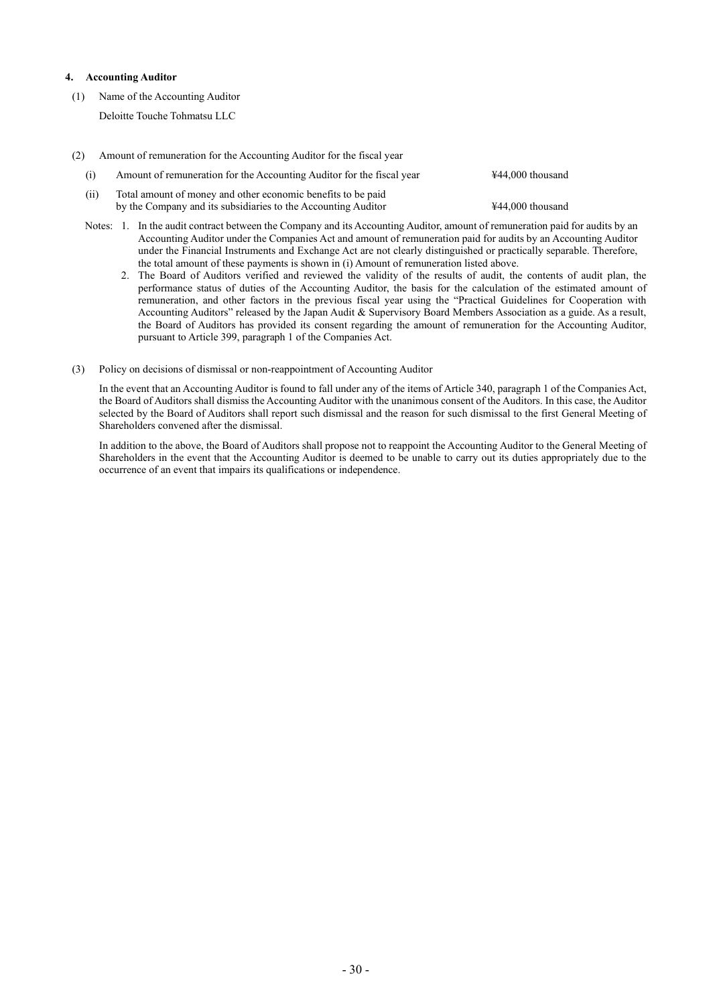#### **4. Accounting Auditor**

- (1) Name of the Accounting Auditor Deloitte Touche Tohmatsu LLC
- (2) Amount of remuneration for the Accounting Auditor for the fiscal year
	- (i) Amount of remuneration for the Accounting Auditor for the fiscal year ¥44,000 thousand (ii) Total amount of money and other economic benefits to be paid by the Company and its subsidiaries to the Accounting Auditor  $\text{\#44,000}$  thousand
	- Notes: 1. In the audit contract between the Company and its Accounting Auditor, amount of remuneration paid for audits by an Accounting Auditor under the Companies Act and amount of remuneration paid for audits by an Accounting Auditor under the Financial Instruments and Exchange Act are not clearly distinguished or practically separable. Therefore, the total amount of these payments is shown in (i) Amount of remuneration listed above.
		- 2. The Board of Auditors verified and reviewed the validity of the results of audit, the contents of audit plan, the performance status of duties of the Accounting Auditor, the basis for the calculation of the estimated amount of remuneration, and other factors in the previous fiscal year using the "Practical Guidelines for Cooperation with Accounting Auditors" released by the Japan Audit & Supervisory Board Members Association as a guide. As a result, the Board of Auditors has provided its consent regarding the amount of remuneration for the Accounting Auditor, pursuant to Article 399, paragraph 1 of the Companies Act.
- (3) Policy on decisions of dismissal or non-reappointment of Accounting Auditor

In the event that an Accounting Auditor is found to fall under any of the items of Article 340, paragraph 1 of the Companies Act, the Board of Auditors shall dismiss the Accounting Auditor with the unanimous consent of the Auditors. In this case, the Auditor selected by the Board of Auditors shall report such dismissal and the reason for such dismissal to the first General Meeting of Shareholders convened after the dismissal.

In addition to the above, the Board of Auditors shall propose not to reappoint the Accounting Auditor to the General Meeting of Shareholders in the event that the Accounting Auditor is deemed to be unable to carry out its duties appropriately due to the occurrence of an event that impairs its qualifications or independence.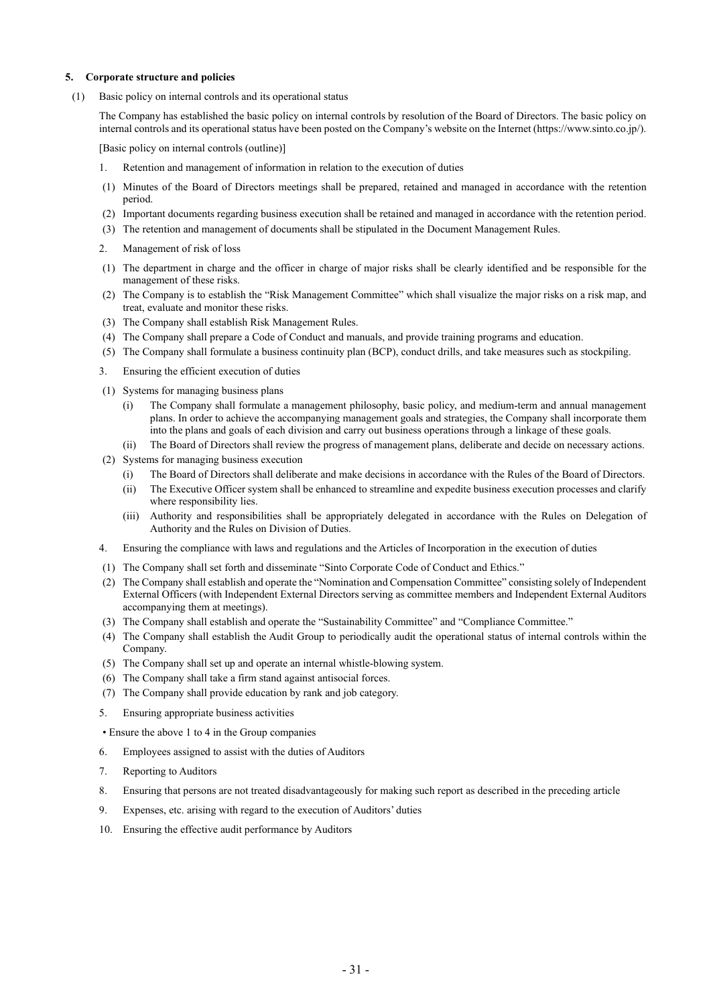#### **5. Corporate structure and policies**

(1) Basic policy on internal controls and its operational status

The Company has established the basic policy on internal controls by resolution of the Board of Directors. The basic policy on internal controls and its operational status have been posted on the Company's website on the Internet (https://www.sinto.co.jp/).

[Basic policy on internal controls (outline)]

- 1. Retention and management of information in relation to the execution of duties
- (1) Minutes of the Board of Directors meetings shall be prepared, retained and managed in accordance with the retention period.
- (2) Important documents regarding business execution shall be retained and managed in accordance with the retention period.
- (3) The retention and management of documents shall be stipulated in the Document Management Rules.
- 2. Management of risk of loss
- (1) The department in charge and the officer in charge of major risks shall be clearly identified and be responsible for the management of these risks.
- (2) The Company is to establish the "Risk Management Committee" which shall visualize the major risks on a risk map, and treat, evaluate and monitor these risks.
- (3) The Company shall establish Risk Management Rules.
- (4) The Company shall prepare a Code of Conduct and manuals, and provide training programs and education.
- (5) The Company shall formulate a business continuity plan (BCP), conduct drills, and take measures such as stockpiling.
- 3. Ensuring the efficient execution of duties
- (1) Systems for managing business plans
	- (i) The Company shall formulate a management philosophy, basic policy, and medium-term and annual management plans. In order to achieve the accompanying management goals and strategies, the Company shall incorporate them into the plans and goals of each division and carry out business operations through a linkage of these goals.
	- (ii) The Board of Directors shall review the progress of management plans, deliberate and decide on necessary actions.
- (2) Systems for managing business execution
	- (i) The Board of Directors shall deliberate and make decisions in accordance with the Rules of the Board of Directors.
	- (ii) The Executive Officer system shall be enhanced to streamline and expedite business execution processes and clarify where responsibility lies.
	- (iii) Authority and responsibilities shall be appropriately delegated in accordance with the Rules on Delegation of Authority and the Rules on Division of Duties.
- 4. Ensuring the compliance with laws and regulations and the Articles of Incorporation in the execution of duties
- (1) The Company shall set forth and disseminate "Sinto Corporate Code of Conduct and Ethics."
- (2) The Company shall establish and operate the "Nomination and Compensation Committee" consisting solely of Independent External Officers (with Independent External Directors serving as committee members and Independent External Auditors accompanying them at meetings).
- (3) The Company shall establish and operate the "Sustainability Committee" and "Compliance Committee."
- (4) The Company shall establish the Audit Group to periodically audit the operational status of internal controls within the Company.
- (5) The Company shall set up and operate an internal whistle-blowing system.
- (6) The Company shall take a firm stand against antisocial forces.
- (7) The Company shall provide education by rank and job category.
- 5. Ensuring appropriate business activities

• Ensure the above 1 to 4 in the Group companies

- 6. Employees assigned to assist with the duties of Auditors
- 7. Reporting to Auditors
- 8. Ensuring that persons are not treated disadvantageously for making such report as described in the preceding article
- 9. Expenses, etc. arising with regard to the execution of Auditors' duties
- 10. Ensuring the effective audit performance by Auditors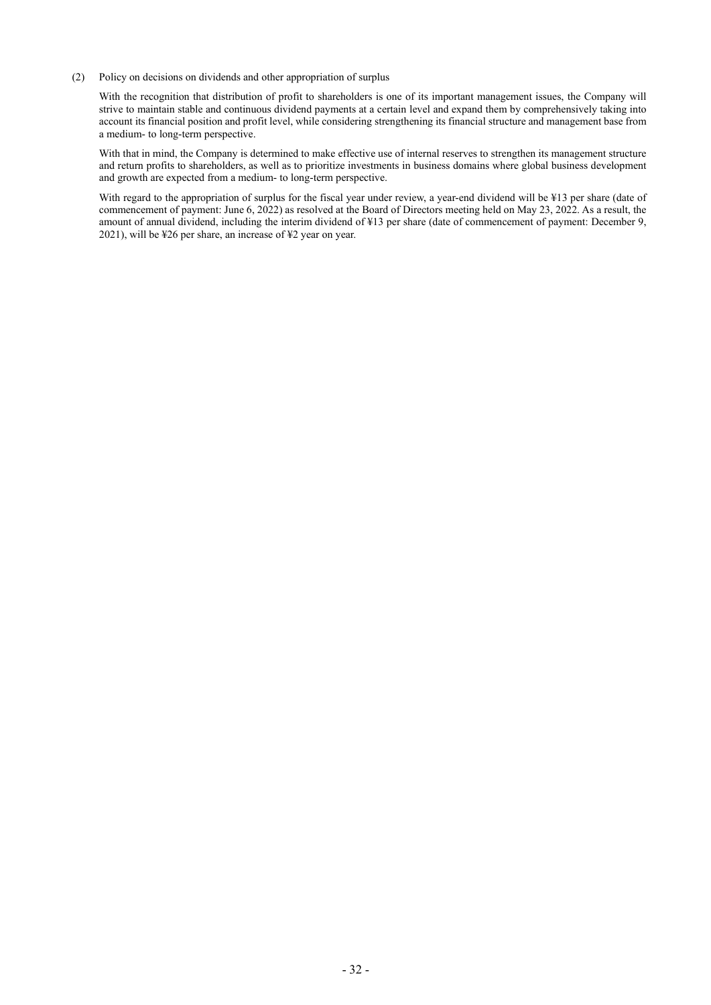(2) Policy on decisions on dividends and other appropriation of surplus

With the recognition that distribution of profit to shareholders is one of its important management issues, the Company will strive to maintain stable and continuous dividend payments at a certain level and expand them by comprehensively taking into account its financial position and profit level, while considering strengthening its financial structure and management base from a medium- to long-term perspective.

With that in mind, the Company is determined to make effective use of internal reserves to strengthen its management structure and return profits to shareholders, as well as to prioritize investments in business domains where global business development and growth are expected from a medium- to long-term perspective.

With regard to the appropriation of surplus for the fiscal year under review, a year-end dividend will be ¥13 per share (date of commencement of payment: June 6, 2022) as resolved at the Board of Directors meeting held on May 23, 2022. As a result, the amount of annual dividend, including the interim dividend of ¥13 per share (date of commencement of payment: December 9, 2021), will be ¥26 per share, an increase of ¥2 year on year.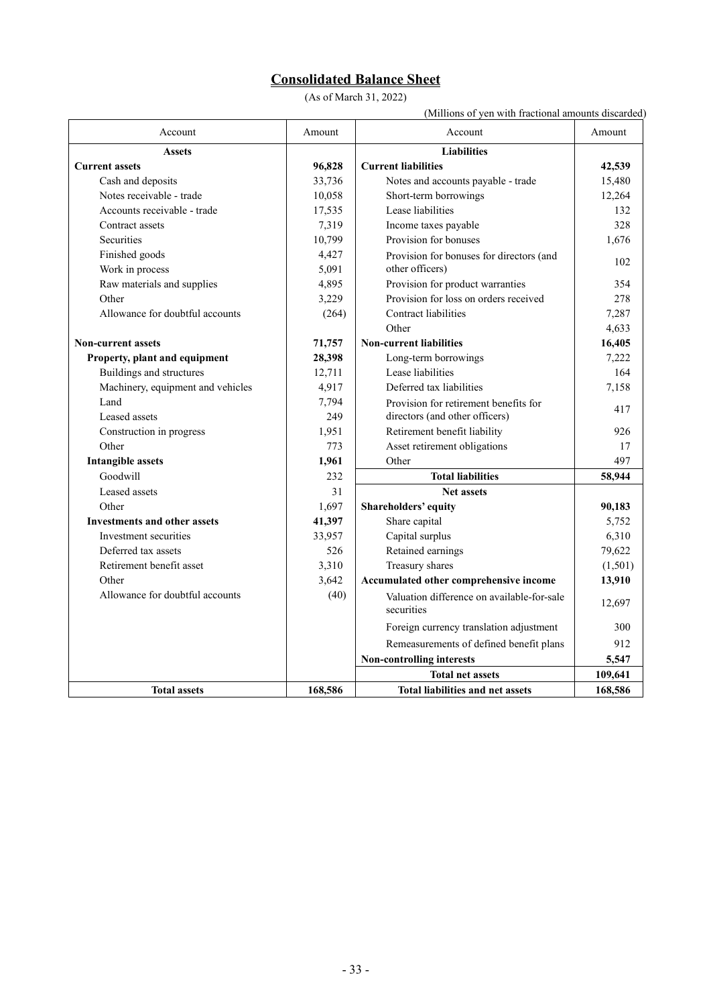# **Consolidated Balance Sheet**

(As of March 31, 2022)

(Millions of yen with fractional amounts discarded)

| Account                             | Amount  | Account                                                  | Amount  |
|-------------------------------------|---------|----------------------------------------------------------|---------|
| <b>Assets</b>                       |         | <b>Liabilities</b>                                       |         |
| <b>Current assets</b>               | 96,828  | <b>Current liabilities</b>                               | 42,539  |
| Cash and deposits                   | 33,736  | Notes and accounts payable - trade                       | 15,480  |
| Notes receivable - trade            | 10,058  | Short-term borrowings                                    | 12,264  |
| Accounts receivable - trade         | 17,535  | Lease liabilities                                        | 132     |
| Contract assets                     | 7,319   | Income taxes payable                                     | 328     |
| Securities                          | 10,799  | Provision for bonuses                                    | 1,676   |
| Finished goods                      | 4,427   | Provision for bonuses for directors (and                 | 102     |
| Work in process                     | 5,091   | other officers)                                          |         |
| Raw materials and supplies          | 4,895   | Provision for product warranties                         | 354     |
| Other                               | 3,229   | Provision for loss on orders received                    | 278     |
| Allowance for doubtful accounts     | (264)   | Contract liabilities                                     | 7,287   |
|                                     |         | Other                                                    | 4,633   |
| <b>Non-current assets</b>           | 71,757  | <b>Non-current liabilities</b>                           | 16,405  |
| Property, plant and equipment       | 28,398  | Long-term borrowings                                     | 7,222   |
| Buildings and structures            | 12,711  | Lease liabilities                                        | 164     |
| Machinery, equipment and vehicles   | 4,917   | Deferred tax liabilities                                 | 7,158   |
| Land                                | 7,794   | Provision for retirement benefits for                    | 417     |
| Leased assets                       | 249     | directors (and other officers)                           |         |
| Construction in progress            | 1,951   | Retirement benefit liability                             | 926     |
| Other                               | 773     | Asset retirement obligations                             | 17      |
| <b>Intangible assets</b>            | 1,961   | Other                                                    | 497     |
| Goodwill                            | 232     | <b>Total liabilities</b>                                 | 58,944  |
| Leased assets                       | 31      | <b>Net assets</b>                                        |         |
| Other                               | 1,697   | Shareholders' equity                                     | 90,183  |
| <b>Investments and other assets</b> | 41,397  | Share capital                                            | 5,752   |
| Investment securities               | 33,957  | Capital surplus                                          | 6,310   |
| Deferred tax assets                 | 526     | Retained earnings                                        | 79,622  |
| Retirement benefit asset            | 3,310   | Treasury shares                                          | (1,501) |
| Other                               | 3,642   | Accumulated other comprehensive income                   | 13,910  |
| Allowance for doubtful accounts     | (40)    | Valuation difference on available-for-sale<br>securities | 12,697  |
|                                     |         | Foreign currency translation adjustment                  | 300     |
|                                     |         | Remeasurements of defined benefit plans                  | 912     |
|                                     |         | Non-controlling interests                                | 5,547   |
|                                     |         | <b>Total net assets</b>                                  | 109,641 |
| <b>Total assets</b>                 | 168,586 | <b>Total liabilities and net assets</b>                  | 168,586 |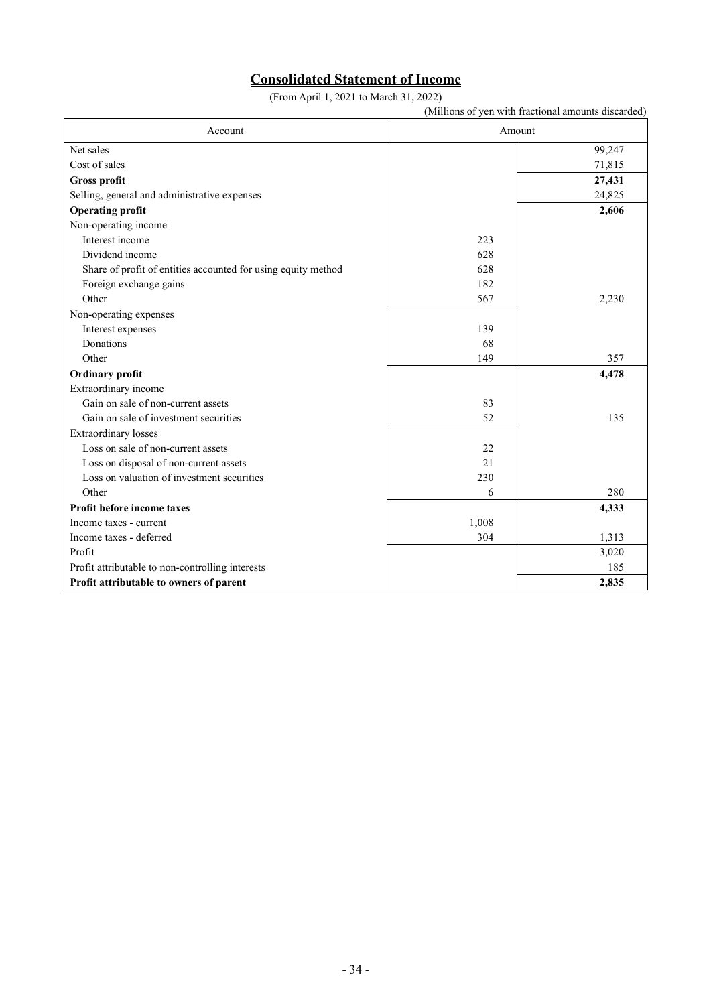## **Consolidated Statement of Income**

(From April 1, 2021 to March 31, 2022)

(Millions of yen with fractional amounts discarded) Account Amount Net sales 50 and 2008 the same state of the same state of the same state of the same state of the same state of the same state of the same state of the same state of the same state of the same state of the same state of th Cost of sales 71,815 **Gross profit 27,431** Selling, general and administrative expenses 24,825 **Operating profit** 2,606 Non-operating income Interest income 223 Dividend income 628 Share of profit of entities accounted for using equity method 628 Foreign exchange gains 182 Other 2,230 Non-operating expenses Interest expenses 139 Donations 68 Other  $149$   $149$   $357$ **Ordinary** profit 4,478 Extraordinary income Gain on sale of non-current assets 83 Gain on sale of investment securities 52 135 Extraordinary losses Loss on sale of non-current assets 22 Loss on disposal of non-current assets 21 Loss on valuation of investment securities 230 Other 280 **Profit before income taxes 4,333** Income taxes - current 1,008 Income taxes - deferred 1,313 Profit  $\qquad \qquad 3,020$ Profit attributable to non-controlling interests 185 **Profit attributable to owners of parent 2,835**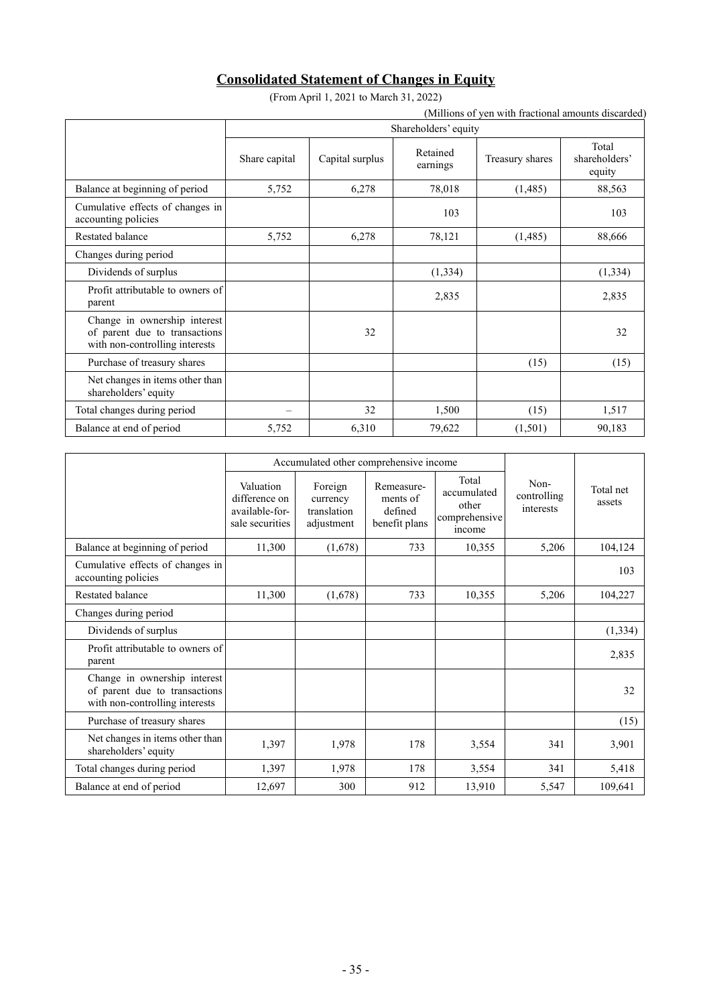# **Consolidated Statement of Changes in Equity**

(From April 1, 2021 to March 31, 2022)

|                                                                                                 |                      | (From April 1, 2021 to March 31, 2022) |                      |                 |                                  |  |  |  |
|-------------------------------------------------------------------------------------------------|----------------------|----------------------------------------|----------------------|-----------------|----------------------------------|--|--|--|
| (Millions of yen with fractional amounts discarded)                                             |                      |                                        |                      |                 |                                  |  |  |  |
|                                                                                                 | Shareholders' equity |                                        |                      |                 |                                  |  |  |  |
|                                                                                                 | Share capital        | Capital surplus                        | Retained<br>earnings | Treasury shares | Total<br>shareholders'<br>equity |  |  |  |
| Balance at beginning of period                                                                  | 5,752                | 6,278                                  | 78,018               | (1,485)         | 88,563                           |  |  |  |
| Cumulative effects of changes in<br>accounting policies                                         |                      |                                        | 103                  |                 | 103                              |  |  |  |
| Restated balance                                                                                | 5,752                | 6,278                                  | 78,121               | (1,485)         | 88,666                           |  |  |  |
| Changes during period                                                                           |                      |                                        |                      |                 |                                  |  |  |  |
| Dividends of surplus                                                                            |                      |                                        | (1, 334)             |                 | (1, 334)                         |  |  |  |
| Profit attributable to owners of<br>parent                                                      |                      |                                        | 2,835                |                 | 2,835                            |  |  |  |
| Change in ownership interest<br>of parent due to transactions<br>with non-controlling interests |                      | 32                                     |                      |                 | 32                               |  |  |  |
| Purchase of treasury shares                                                                     |                      |                                        |                      | (15)            | (15)                             |  |  |  |
| Net changes in items other than<br>shareholders' equity                                         |                      |                                        |                      |                 |                                  |  |  |  |
| Total changes during period                                                                     |                      | 32                                     | 1,500                | (15)            | 1,517                            |  |  |  |
| Balance at end of period                                                                        | 5,752                | 6,310                                  | 79,622               | (1,501)         | 90,183                           |  |  |  |

|                                                                                                 |                                                                 | Accumulated other comprehensive income           |                                                    |                                                          |                                  |                     |
|-------------------------------------------------------------------------------------------------|-----------------------------------------------------------------|--------------------------------------------------|----------------------------------------------------|----------------------------------------------------------|----------------------------------|---------------------|
|                                                                                                 | Valuation<br>difference on<br>available-for-<br>sale securities | Foreign<br>currency<br>translation<br>adjustment | Remeasure-<br>ments of<br>defined<br>benefit plans | Total<br>accumulated<br>other<br>comprehensive<br>income | Non-<br>controlling<br>interests | Total net<br>assets |
| Balance at beginning of period                                                                  | 11,300                                                          | (1,678)                                          | 733                                                | 10,355                                                   | 5,206                            | 104,124             |
| Cumulative effects of changes in<br>accounting policies                                         |                                                                 |                                                  |                                                    |                                                          |                                  | 103                 |
| Restated balance                                                                                | 11,300                                                          | (1,678)                                          | 733                                                | 10,355                                                   | 5,206                            | 104,227             |
| Changes during period                                                                           |                                                                 |                                                  |                                                    |                                                          |                                  |                     |
| Dividends of surplus                                                                            |                                                                 |                                                  |                                                    |                                                          |                                  | (1, 334)            |
| Profit attributable to owners of<br>parent                                                      |                                                                 |                                                  |                                                    |                                                          |                                  | 2,835               |
| Change in ownership interest<br>of parent due to transactions<br>with non-controlling interests |                                                                 |                                                  |                                                    |                                                          |                                  | 32                  |
| Purchase of treasury shares                                                                     |                                                                 |                                                  |                                                    |                                                          |                                  | (15)                |
| Net changes in items other than<br>shareholders' equity                                         | 1,397                                                           | 1,978                                            | 178                                                | 3,554                                                    | 341                              | 3,901               |
| Total changes during period                                                                     | 1,397                                                           | 1,978                                            | 178                                                | 3,554                                                    | 341                              | 5,418               |
| Balance at end of period                                                                        | 12,697                                                          | 300                                              | 912                                                | 13,910                                                   | 5,547                            | 109,641             |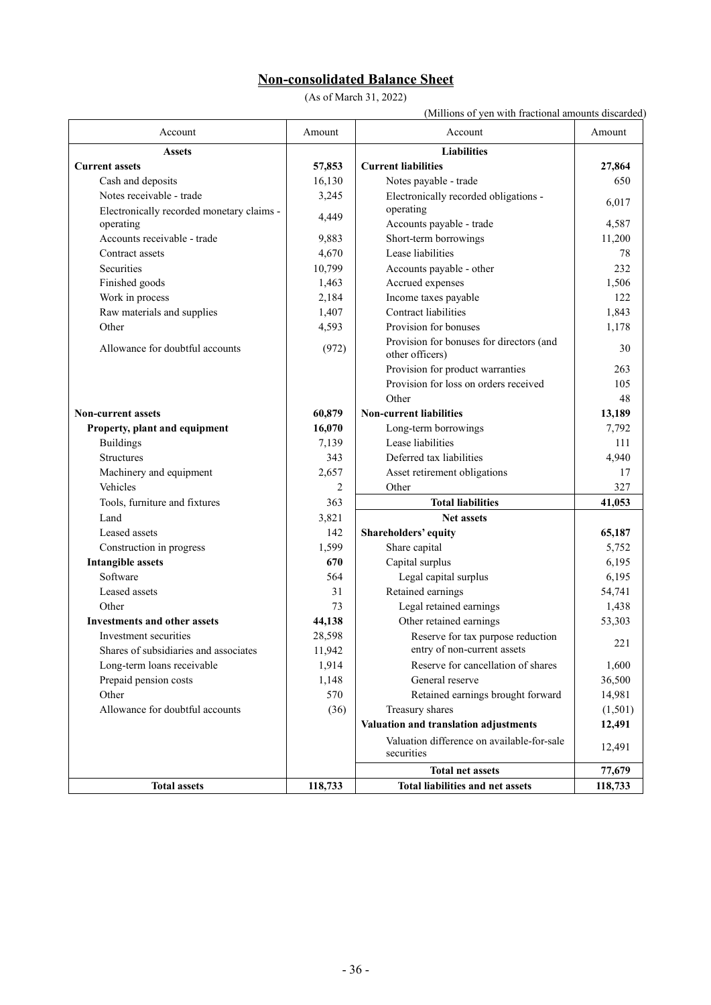# **Non-consolidated Balance Sheet**

(As of March 31, 2022)

(Millions of yen with fractional amounts discarded)

| Account                                   | Amount         | Account                                                     | Amount  |
|-------------------------------------------|----------------|-------------------------------------------------------------|---------|
| <b>Assets</b>                             |                | <b>Liabilities</b>                                          |         |
| <b>Current assets</b>                     | 57,853         | <b>Current liabilities</b>                                  | 27,864  |
| Cash and deposits                         | 16,130         | Notes payable - trade                                       | 650     |
| Notes receivable - trade                  | 3,245          | Electronically recorded obligations -                       | 6,017   |
| Electronically recorded monetary claims - | 4,449          | operating                                                   |         |
| operating                                 |                | Accounts payable - trade                                    | 4,587   |
| Accounts receivable - trade               | 9,883          | Short-term borrowings                                       | 11,200  |
| Contract assets                           | 4,670          | Lease liabilities                                           | 78      |
| Securities                                | 10,799         | Accounts payable - other                                    | 232     |
| Finished goods                            | 1,463          | Accrued expenses                                            | 1,506   |
| Work in process                           | 2,184          | Income taxes payable                                        | 122     |
| Raw materials and supplies                | 1,407          | Contract liabilities                                        | 1,843   |
| Other                                     | 4,593          | Provision for bonuses                                       | 1,178   |
| Allowance for doubtful accounts           | (972)          | Provision for bonuses for directors (and<br>other officers) | 30      |
|                                           |                | Provision for product warranties                            | 263     |
|                                           |                | Provision for loss on orders received                       | 105     |
|                                           |                | Other                                                       | 48      |
| <b>Non-current assets</b>                 | 60,879         | <b>Non-current liabilities</b>                              | 13,189  |
| Property, plant and equipment             | 16,070         | Long-term borrowings                                        | 7,792   |
| <b>Buildings</b>                          | 7,139          | Lease liabilities                                           | 111     |
| <b>Structures</b>                         | 343            | Deferred tax liabilities                                    | 4,940   |
| Machinery and equipment                   | 2,657          | Asset retirement obligations                                | 17      |
| Vehicles                                  | $\overline{2}$ | Other                                                       | 327     |
| Tools, furniture and fixtures             | 363            | <b>Total liabilities</b>                                    | 41,053  |
| Land                                      | 3,821          | <b>Net assets</b>                                           |         |
| Leased assets                             | 142            | Shareholders' equity                                        | 65,187  |
| Construction in progress                  | 1,599          | Share capital                                               | 5,752   |
| <b>Intangible assets</b>                  | 670            | Capital surplus                                             | 6,195   |
| Software                                  | 564            | Legal capital surplus                                       | 6,195   |
| Leased assets                             | 31             | Retained earnings                                           | 54,741  |
| Other                                     | 73             | Legal retained earnings                                     | 1,438   |
| <b>Investments and other assets</b>       | 44,138         | Other retained earnings                                     | 53,303  |
| Investment securities                     | 28,598         | Reserve for tax purpose reduction                           |         |
| Shares of subsidiaries and associates     | 11,942         | entry of non-current assets                                 | 221     |
| Long-term loans receivable                | 1,914          | Reserve for cancellation of shares                          | 1,600   |
| Prepaid pension costs                     | 1,148          | General reserve                                             | 36,500  |
| Other                                     | 570            | Retained earnings brought forward                           | 14,981  |
| Allowance for doubtful accounts           | (36)           | Treasury shares                                             | (1,501) |
|                                           |                | Valuation and translation adjustments                       | 12,491  |
|                                           |                | Valuation difference on available-for-sale<br>securities    | 12,491  |
|                                           |                | <b>Total net assets</b>                                     | 77,679  |
| <b>Total assets</b>                       | 118,733        | <b>Total liabilities and net assets</b>                     | 118,733 |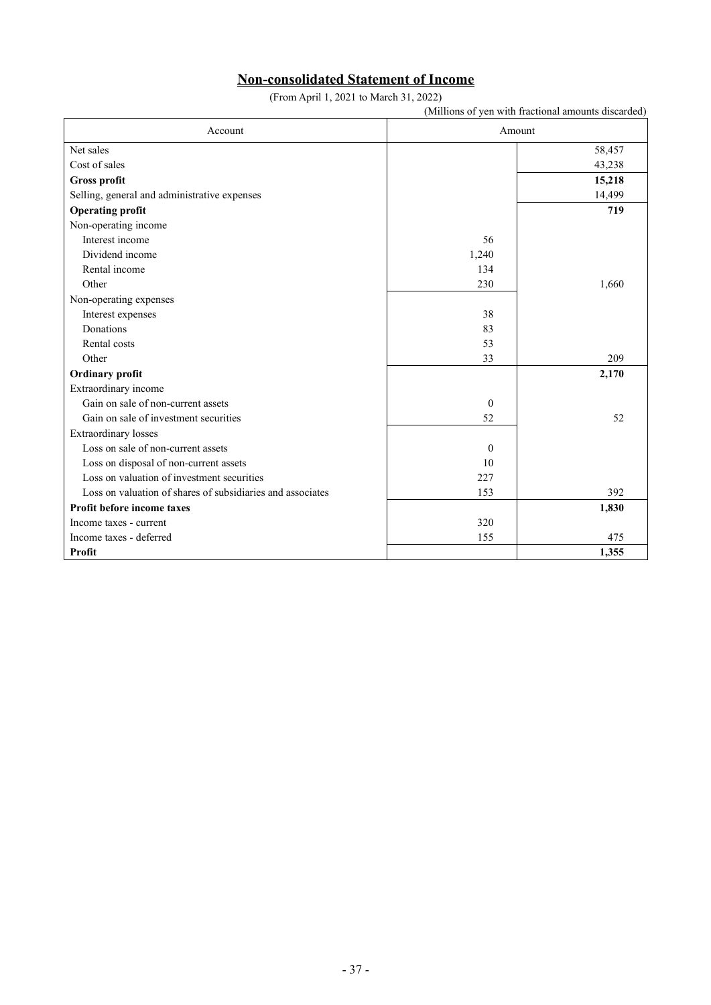# **Non-consolidated Statement of Income**

(From April 1, 2021 to March 31, 2022)

|                                                            |              | (Millions of yen with fractional amounts discarded) |  |  |  |
|------------------------------------------------------------|--------------|-----------------------------------------------------|--|--|--|
| Account                                                    |              | Amount                                              |  |  |  |
| Net sales                                                  |              | 58,457                                              |  |  |  |
| Cost of sales                                              |              | 43,238                                              |  |  |  |
| Gross profit                                               |              | 15,218                                              |  |  |  |
| Selling, general and administrative expenses               |              | 14,499                                              |  |  |  |
| <b>Operating profit</b>                                    |              | 719                                                 |  |  |  |
| Non-operating income                                       |              |                                                     |  |  |  |
| Interest income                                            | 56           |                                                     |  |  |  |
| Dividend income                                            | 1,240        |                                                     |  |  |  |
| Rental income                                              | 134          |                                                     |  |  |  |
| Other                                                      | 230          | 1,660                                               |  |  |  |
| Non-operating expenses                                     |              |                                                     |  |  |  |
| Interest expenses                                          | 38           |                                                     |  |  |  |
| Donations                                                  | 83           |                                                     |  |  |  |
| Rental costs                                               | 53           |                                                     |  |  |  |
| Other                                                      | 33           | 209                                                 |  |  |  |
| Ordinary profit                                            |              | 2,170                                               |  |  |  |
| Extraordinary income                                       |              |                                                     |  |  |  |
| Gain on sale of non-current assets                         | $\mathbf{0}$ |                                                     |  |  |  |
| Gain on sale of investment securities                      | 52           | 52                                                  |  |  |  |
| <b>Extraordinary</b> losses                                |              |                                                     |  |  |  |
| Loss on sale of non-current assets                         | $\mathbf{0}$ |                                                     |  |  |  |
| Loss on disposal of non-current assets                     | 10           |                                                     |  |  |  |
| Loss on valuation of investment securities                 | 227          |                                                     |  |  |  |
| Loss on valuation of shares of subsidiaries and associates | 153          | 392                                                 |  |  |  |
| Profit before income taxes                                 |              | 1,830                                               |  |  |  |
| Income taxes - current                                     | 320          |                                                     |  |  |  |
| Income taxes - deferred                                    | 155          | 475                                                 |  |  |  |
| Profit                                                     |              | 1,355                                               |  |  |  |